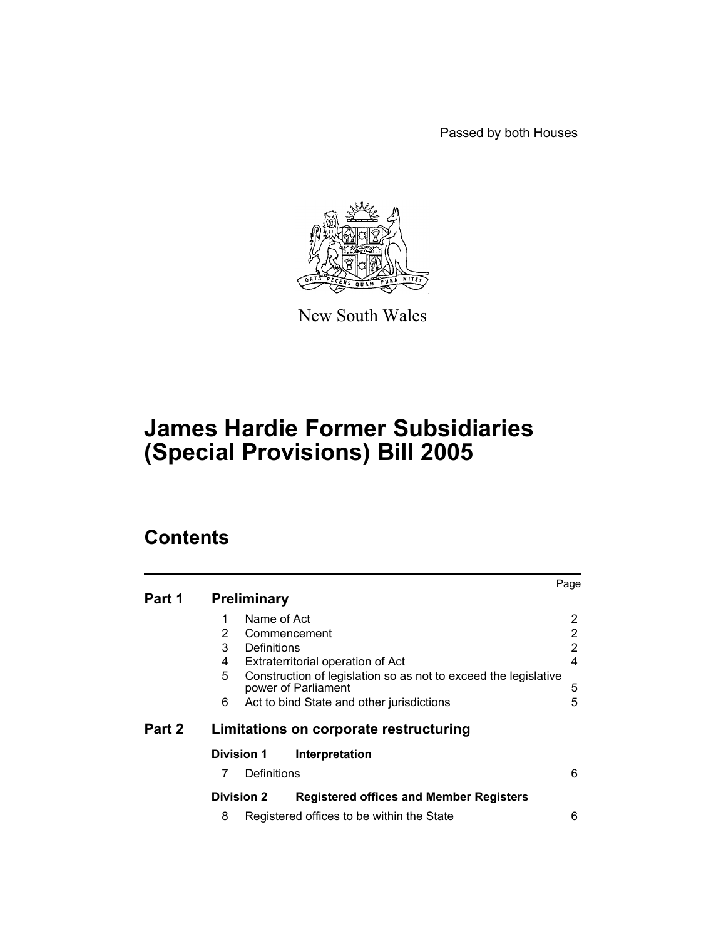Passed by both Houses



New South Wales

# **James Hardie Former Subsidiaries (Special Provisions) Bill 2005**

# **Contents**

|        |                    |                                                                                        | Page |
|--------|--------------------|----------------------------------------------------------------------------------------|------|
| Part 1 | <b>Preliminary</b> |                                                                                        |      |
|        | Name of Act<br>1   |                                                                                        | 2    |
|        | 2                  | Commencement                                                                           | 2    |
|        | 3<br>Definitions   |                                                                                        | 2    |
|        | 4                  | Extraterritorial operation of Act                                                      | 4    |
|        | 5                  | Construction of legislation so as not to exceed the legislative<br>power of Parliament | 5    |
|        | 6                  | Act to bind State and other jurisdictions                                              | 5    |
| Part 2 |                    | Limitations on corporate restructuring                                                 |      |
|        | <b>Division 1</b>  | Interpretation                                                                         |      |
|        | 7<br>Definitions   |                                                                                        | 6    |
|        | <b>Division 2</b>  | <b>Registered offices and Member Registers</b>                                         |      |
|        | 8                  | Registered offices to be within the State                                              | 6    |
|        |                    |                                                                                        |      |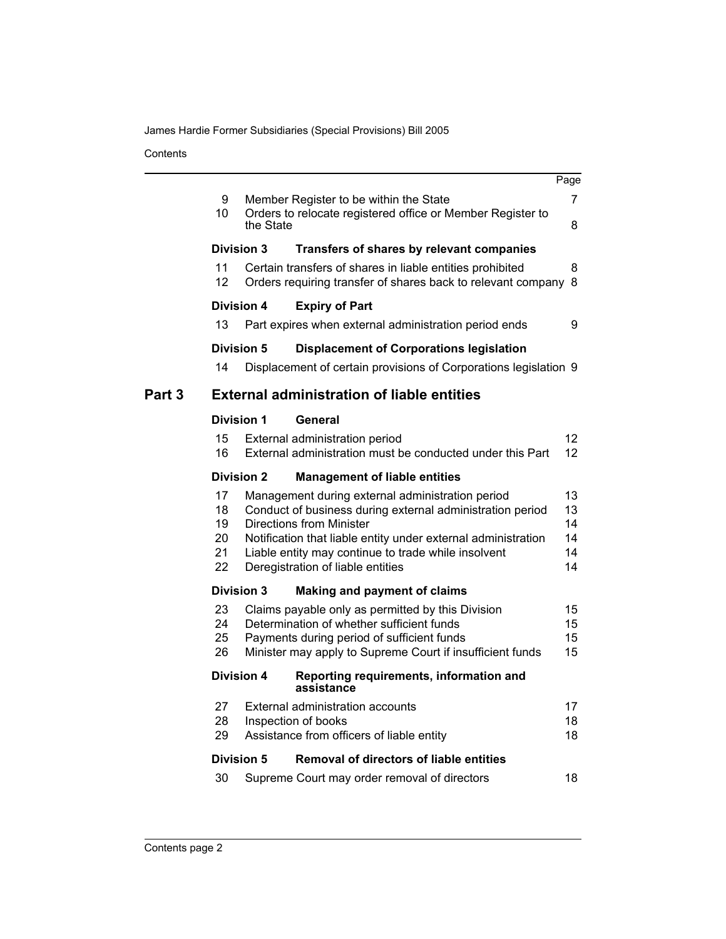James Hardie Former Subsidiaries (Special Provisions) Bill 2005

**Contents** 

|        |                                  |                   |                                                                                                                                                                                                                                                                                                               | Page                                   |
|--------|----------------------------------|-------------------|---------------------------------------------------------------------------------------------------------------------------------------------------------------------------------------------------------------------------------------------------------------------------------------------------------------|----------------------------------------|
|        | 9<br>10                          | the State         | Member Register to be within the State<br>Orders to relocate registered office or Member Register to                                                                                                                                                                                                          | 7<br>8                                 |
|        |                                  | <b>Division 3</b> | Transfers of shares by relevant companies                                                                                                                                                                                                                                                                     |                                        |
|        | 11<br>12                         |                   | Certain transfers of shares in liable entities prohibited<br>Orders requiring transfer of shares back to relevant company                                                                                                                                                                                     | 8<br>8                                 |
|        |                                  | <b>Division 4</b> | <b>Expiry of Part</b>                                                                                                                                                                                                                                                                                         |                                        |
|        | 13                               |                   | Part expires when external administration period ends                                                                                                                                                                                                                                                         | 9                                      |
|        |                                  | <b>Division 5</b> | <b>Displacement of Corporations legislation</b>                                                                                                                                                                                                                                                               |                                        |
|        | 14                               |                   | Displacement of certain provisions of Corporations legislation 9                                                                                                                                                                                                                                              |                                        |
| Part 3 |                                  |                   | <b>External administration of liable entities</b>                                                                                                                                                                                                                                                             |                                        |
|        |                                  | <b>Division 1</b> | General                                                                                                                                                                                                                                                                                                       |                                        |
|        | 15<br>16                         |                   | External administration period<br>External administration must be conducted under this Part                                                                                                                                                                                                                   | $12 \overline{ }$<br>$12 \overline{ }$ |
|        |                                  | <b>Division 2</b> | <b>Management of liable entities</b>                                                                                                                                                                                                                                                                          |                                        |
|        | 17<br>18<br>19<br>20<br>21<br>22 |                   | Management during external administration period<br>Conduct of business during external administration period<br><b>Directions from Minister</b><br>Notification that liable entity under external administration<br>Liable entity may continue to trade while insolvent<br>Deregistration of liable entities | 13<br>13<br>14<br>14<br>14<br>14       |
|        |                                  | <b>Division 3</b> | <b>Making and payment of claims</b>                                                                                                                                                                                                                                                                           |                                        |
|        | 23<br>24<br>25<br>26             |                   | Claims payable only as permitted by this Division<br>Determination of whether sufficient funds<br>Payments during period of sufficient funds<br>Minister may apply to Supreme Court if insufficient funds                                                                                                     | 15<br>15<br>15<br>15                   |
|        |                                  | Division 4        | Reporting requirements, information and<br>assistance                                                                                                                                                                                                                                                         |                                        |
|        | 27<br>28<br>29                   |                   | External administration accounts<br>Inspection of books<br>Assistance from officers of liable entity                                                                                                                                                                                                          | 17<br>18<br>18                         |
|        |                                  | <b>Division 5</b> | <b>Removal of directors of liable entities</b>                                                                                                                                                                                                                                                                |                                        |
|        | 30                               |                   | Supreme Court may order removal of directors                                                                                                                                                                                                                                                                  | 18                                     |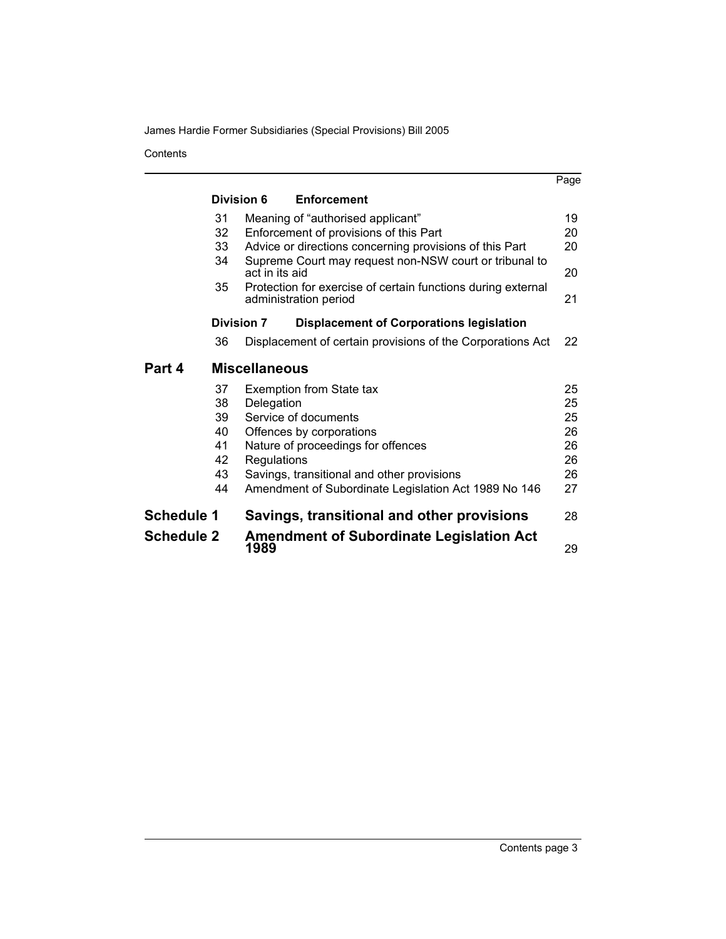James Hardie Former Subsidiaries (Special Provisions) Bill 2005

**Contents** 

|                   |                   |                      |                                                              | Page |
|-------------------|-------------------|----------------------|--------------------------------------------------------------|------|
|                   | Division 6        |                      | <b>Enforcement</b>                                           |      |
|                   | 31                |                      | Meaning of "authorised applicant"                            | 19   |
|                   | 32                |                      | Enforcement of provisions of this Part                       | 20   |
|                   | 33                |                      | Advice or directions concerning provisions of this Part      | 20   |
|                   | 34                | act in its aid       | Supreme Court may request non-NSW court or tribunal to       | 20   |
|                   | 35                |                      | Protection for exercise of certain functions during external |      |
|                   |                   |                      | administration period                                        | 21   |
|                   | <b>Division 7</b> |                      | <b>Displacement of Corporations legislation</b>              |      |
|                   | 36                |                      | Displacement of certain provisions of the Corporations Act   | 22   |
| Part 4            |                   | <b>Miscellaneous</b> |                                                              |      |
|                   | 37                |                      | Exemption from State tax                                     | 25   |
|                   | 38                | Delegation           |                                                              | 25   |
|                   | 39                |                      | Service of documents                                         | 25   |
|                   | 40                |                      | Offences by corporations                                     | 26   |
|                   | 41                |                      | Nature of proceedings for offences                           | 26   |
|                   | 42                | Regulations          |                                                              | 26   |
|                   | 43                |                      | Savings, transitional and other provisions                   | 26   |
|                   | 44                |                      | Amendment of Subordinate Legislation Act 1989 No 146         | 27   |
| <b>Schedule 1</b> |                   |                      | Savings, transitional and other provisions                   | 28   |
| <b>Schedule 2</b> |                   | 1989                 | <b>Amendment of Subordinate Legislation Act</b>              | 29   |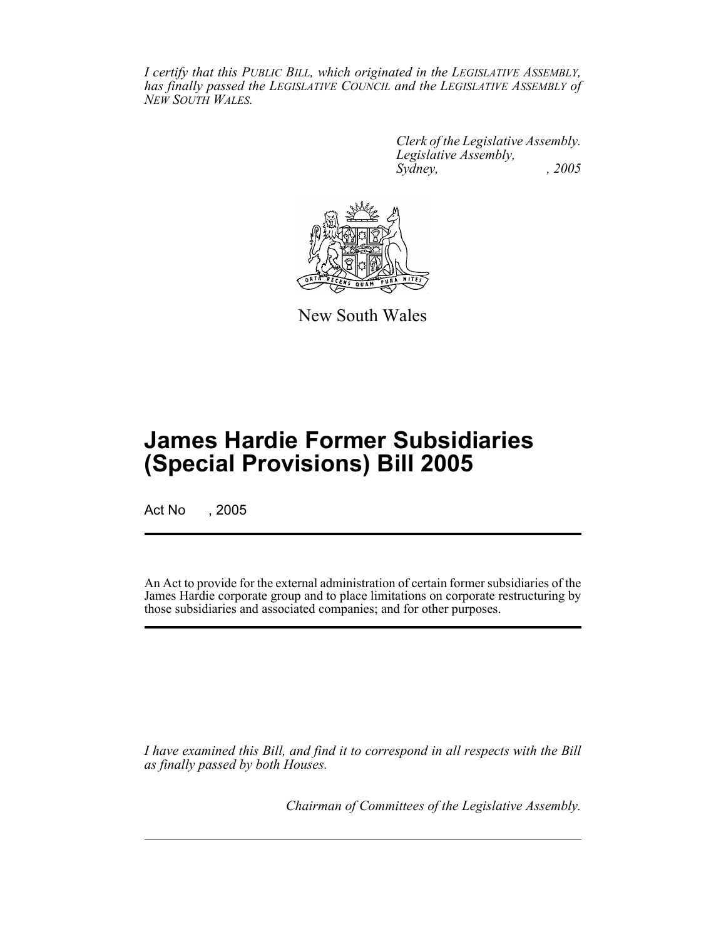*I certify that this PUBLIC BILL, which originated in the LEGISLATIVE ASSEMBLY, has finally passed the LEGISLATIVE COUNCIL and the LEGISLATIVE ASSEMBLY of NEW SOUTH WALES.*

> *Clerk of the Legislative Assembly. Legislative Assembly, Sydney, , 2005*



New South Wales

# **James Hardie Former Subsidiaries (Special Provisions) Bill 2005**

Act No , 2005

An Act to provide for the external administration of certain former subsidiaries of the James Hardie corporate group and to place limitations on corporate restructuring by those subsidiaries and associated companies; and for other purposes.

*I have examined this Bill, and find it to correspond in all respects with the Bill as finally passed by both Houses.*

*Chairman of Committees of the Legislative Assembly.*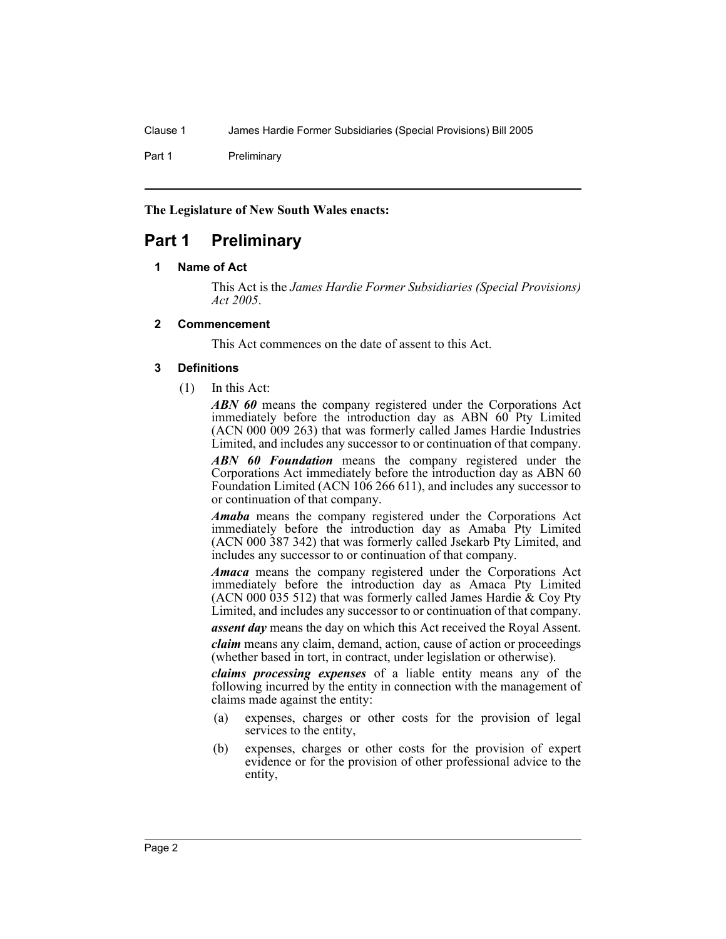Part 1 Preliminary

**The Legislature of New South Wales enacts:**

## **Part 1 Preliminary**

#### **1 Name of Act**

This Act is the *James Hardie Former Subsidiaries (Special Provisions) Act 2005*.

#### **2 Commencement**

This Act commences on the date of assent to this Act.

## **3 Definitions**

(1) In this Act:

*ABN 60* means the company registered under the Corporations Act immediately before the introduction day as ABN 60 Pty Limited (ACN 000 009 263) that was formerly called James Hardie Industries Limited, and includes any successor to or continuation of that company.

*ABN 60 Foundation* means the company registered under the Corporations Act immediately before the introduction day as ABN 60 Foundation Limited (ACN 106 266 611), and includes any successor to or continuation of that company.

*Amaba* means the company registered under the Corporations Act immediately before the introduction day as Amaba Pty Limited (ACN 000 387 342) that was formerly called Jsekarb Pty Limited, and includes any successor to or continuation of that company.

*Amaca* means the company registered under the Corporations Act immediately before the introduction day as Amaca Pty Limited (ACN 000 035 512) that was formerly called James Hardie & Coy Pty Limited, and includes any successor to or continuation of that company.

*assent day* means the day on which this Act received the Royal Assent.

*claim* means any claim, demand, action, cause of action or proceedings (whether based in tort, in contract, under legislation or otherwise).

*claims processing expenses* of a liable entity means any of the following incurred by the entity in connection with the management of claims made against the entity:

- (a) expenses, charges or other costs for the provision of legal services to the entity,
- (b) expenses, charges or other costs for the provision of expert evidence or for the provision of other professional advice to the entity,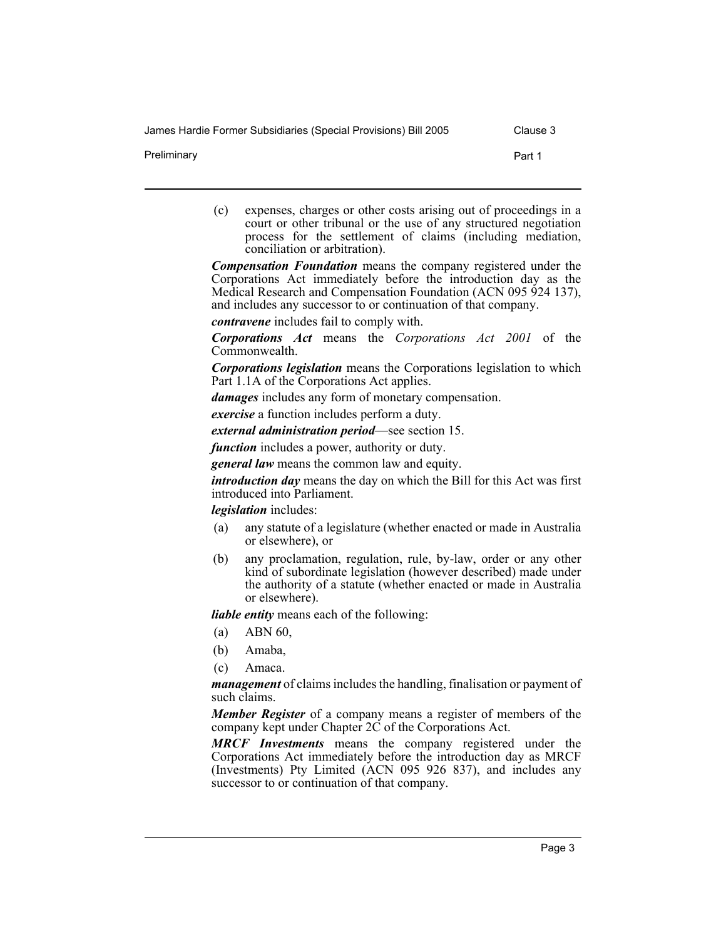Preliminary **Part 1** 

(c) expenses, charges or other costs arising out of proceedings in a court or other tribunal or the use of any structured negotiation process for the settlement of claims (including mediation, conciliation or arbitration).

*Compensation Foundation* means the company registered under the Corporations Act immediately before the introduction day as the Medical Research and Compensation Foundation (ACN 095 924 137), and includes any successor to or continuation of that company.

*contravene* includes fail to comply with.

*Corporations Act* means the *Corporations Act 2001* of the Commonwealth.

*Corporations legislation* means the Corporations legislation to which Part 1.1A of the Corporations Act applies.

*damages* includes any form of monetary compensation.

*exercise* a function includes perform a duty.

*external administration period*—see section 15.

*function* includes a power, authority or duty.

*general law* means the common law and equity.

*introduction day* means the day on which the Bill for this Act was first introduced into Parliament.

*legislation* includes:

- (a) any statute of a legislature (whether enacted or made in Australia or elsewhere), or
- (b) any proclamation, regulation, rule, by-law, order or any other kind of subordinate legislation (however described) made under the authority of a statute (whether enacted or made in Australia or elsewhere).

*liable entity* means each of the following:

- (a) ABN 60,
- (b) Amaba,
- (c) Amaca.

*management* of claims includes the handling, finalisation or payment of such claims.

*Member Register* of a company means a register of members of the company kept under Chapter 2C of the Corporations Act.

*MRCF Investments* means the company registered under the Corporations Act immediately before the introduction day as MRCF (Investments) Pty Limited (ACN 095 926 837), and includes any successor to or continuation of that company.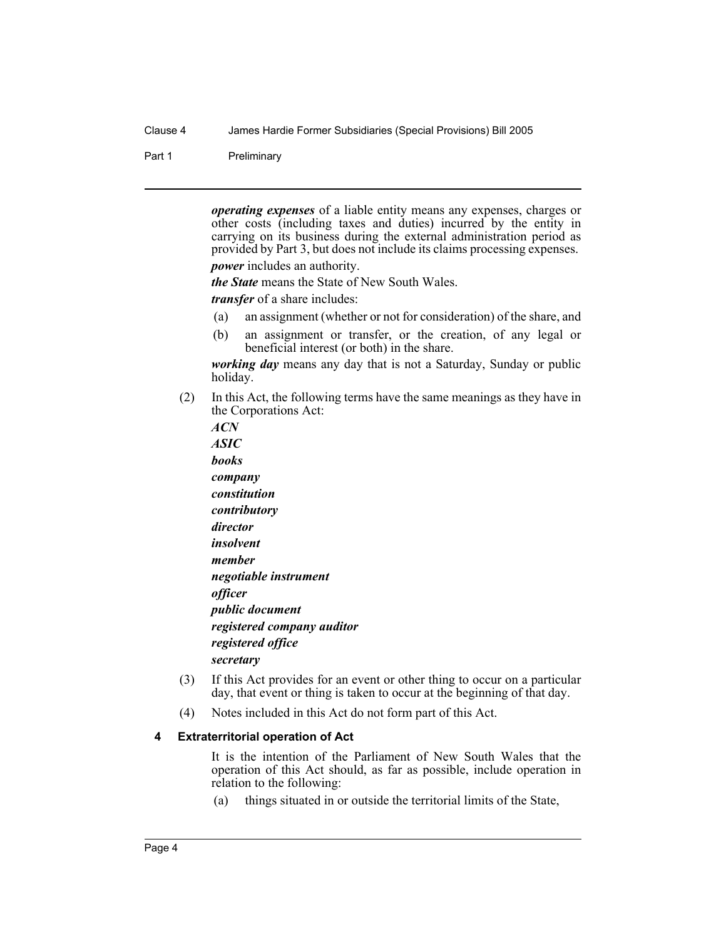Part 1 Preliminary

*operating expenses* of a liable entity means any expenses, charges or other costs (including taxes and duties) incurred by the entity in carrying on its business during the external administration period as provided by Part 3, but does not include its claims processing expenses.

*power* includes an authority.

*the State* means the State of New South Wales.

*transfer* of a share includes:

- (a) an assignment (whether or not for consideration) of the share, and
- (b) an assignment or transfer, or the creation, of any legal or beneficial interest (or both) in the share.

*working day* means any day that is not a Saturday, Sunday or public holiday.

- (2) In this Act, the following terms have the same meanings as they have in the Corporations Act:
	- *ACN ASIC books company constitution contributory director insolvent member negotiable instrument officer public document registered company auditor registered office secretary*
- (3) If this Act provides for an event or other thing to occur on a particular day, that event or thing is taken to occur at the beginning of that day.
- (4) Notes included in this Act do not form part of this Act.

#### **4 Extraterritorial operation of Act**

It is the intention of the Parliament of New South Wales that the operation of this Act should, as far as possible, include operation in relation to the following:

(a) things situated in or outside the territorial limits of the State,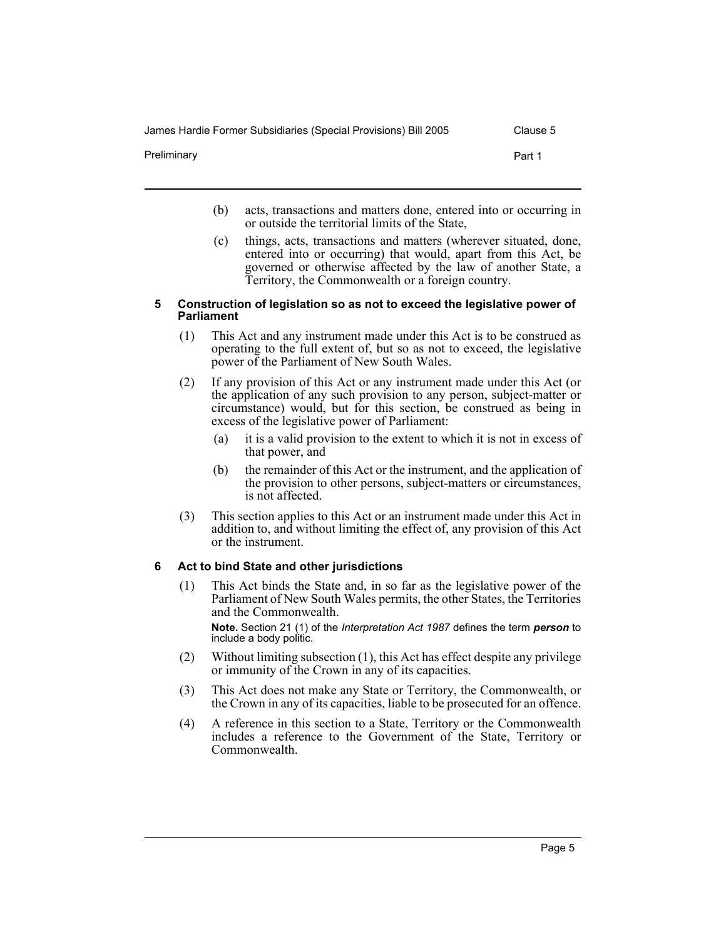James Hardie Former Subsidiaries (Special Provisions) Bill 2005 Clause 5

Preliminary

| ı<br>÷ |  |
|--------|--|
|        |  |

- (b) acts, transactions and matters done, entered into or occurring in or outside the territorial limits of the State,
- (c) things, acts, transactions and matters (wherever situated, done, entered into or occurring) that would, apart from this Act, be governed or otherwise affected by the law of another State, a Territory, the Commonwealth or a foreign country.

#### **5 Construction of legislation so as not to exceed the legislative power of Parliament**

- (1) This Act and any instrument made under this Act is to be construed as operating to the full extent of, but so as not to exceed, the legislative power of the Parliament of New South Wales.
- (2) If any provision of this Act or any instrument made under this Act (or the application of any such provision to any person, subject-matter or circumstance) would, but for this section, be construed as being in excess of the legislative power of Parliament:
	- (a) it is a valid provision to the extent to which it is not in excess of that power, and
	- (b) the remainder of this Act or the instrument, and the application of the provision to other persons, subject-matters or circumstances, is not affected.
- (3) This section applies to this Act or an instrument made under this Act in addition to, and without limiting the effect of, any provision of this Act or the instrument.

## **6 Act to bind State and other jurisdictions**

(1) This Act binds the State and, in so far as the legislative power of the Parliament of New South Wales permits, the other States, the Territories and the Commonwealth.

**Note.** Section 21 (1) of the *Interpretation Act 1987* defines the term *person* to include a body politic.

- (2) Without limiting subsection (1), this Act has effect despite any privilege or immunity of the Crown in any of its capacities.
- (3) This Act does not make any State or Territory, the Commonwealth, or the Crown in any of its capacities, liable to be prosecuted for an offence.
- (4) A reference in this section to a State, Territory or the Commonwealth includes a reference to the Government of the State, Territory or Commonwealth.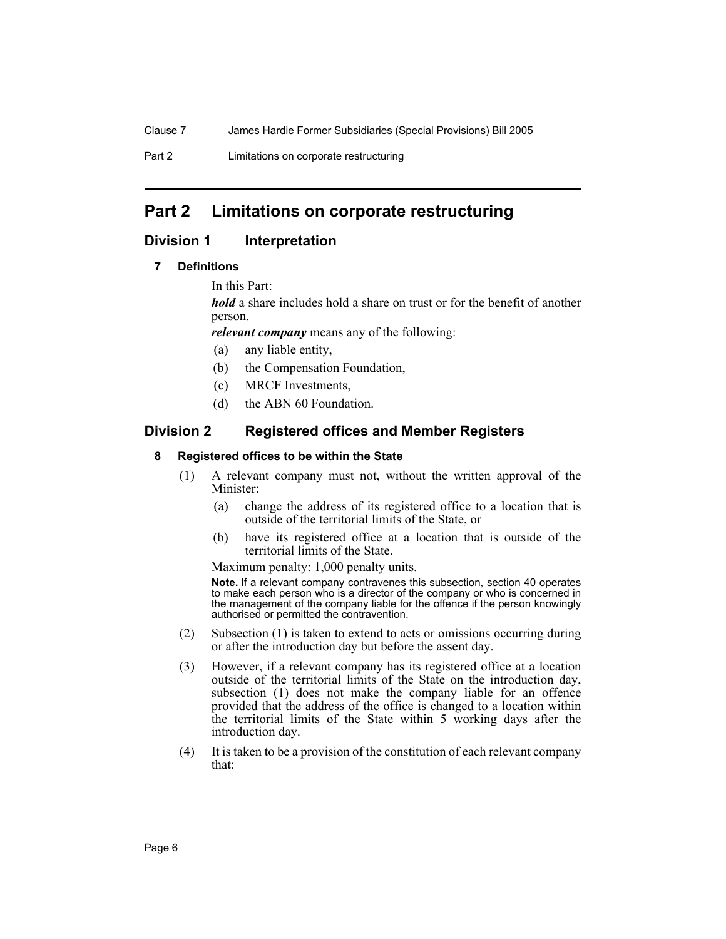Part 2 Limitations on corporate restructuring

## **Part 2 Limitations on corporate restructuring**

## **Division 1 Interpretation**

## **7 Definitions**

In this Part:

*hold* a share includes hold a share on trust or for the benefit of another person.

*relevant company* means any of the following:

- (a) any liable entity,
- (b) the Compensation Foundation,
- (c) MRCF Investments,
- (d) the ABN 60 Foundation.

## **Division 2 Registered offices and Member Registers**

## **8 Registered offices to be within the State**

- (1) A relevant company must not, without the written approval of the Minister:
	- (a) change the address of its registered office to a location that is outside of the territorial limits of the State, or
	- (b) have its registered office at a location that is outside of the territorial limits of the State.

Maximum penalty: 1,000 penalty units.

**Note.** If a relevant company contravenes this subsection, section 40 operates to make each person who is a director of the company or who is concerned in the management of the company liable for the offence if the person knowingly authorised or permitted the contravention.

- (2) Subsection (1) is taken to extend to acts or omissions occurring during or after the introduction day but before the assent day.
- (3) However, if a relevant company has its registered office at a location outside of the territorial limits of the State on the introduction day, subsection (1) does not make the company liable for an offence provided that the address of the office is changed to a location within the territorial limits of the State within 5 working days after the introduction day.
- (4) It is taken to be a provision of the constitution of each relevant company that: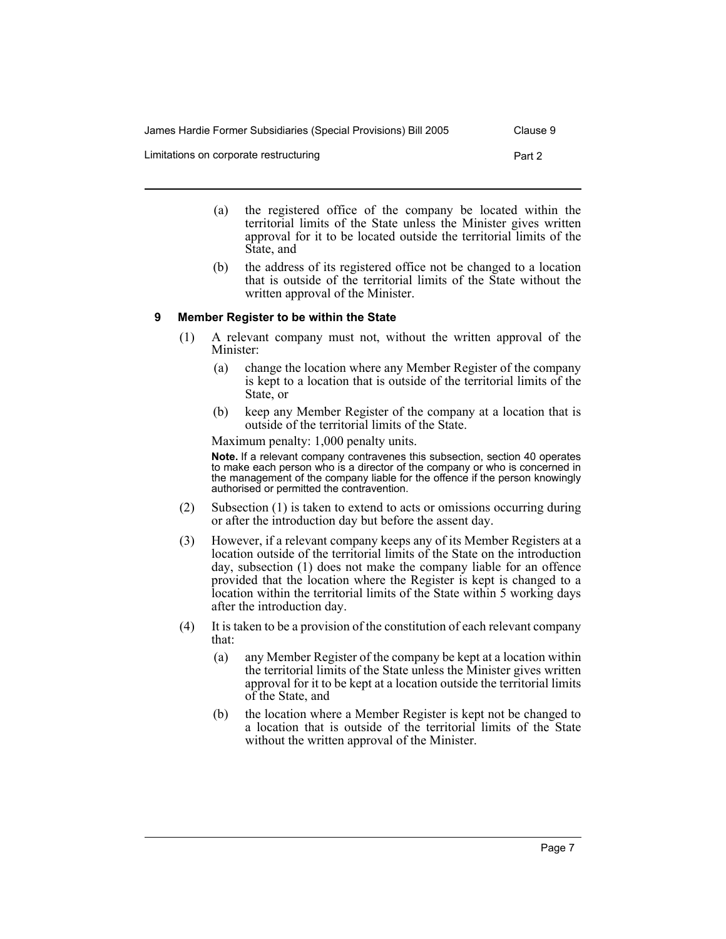| James Hardie Former Subsidiaries (Special Provisions) Bill 2005 | Clause 9 |
|-----------------------------------------------------------------|----------|
| Limitations on corporate restructuring                          | Part 2   |

- (a) the registered office of the company be located within the territorial limits of the State unless the Minister gives written approval for it to be located outside the territorial limits of the State, and
- (b) the address of its registered office not be changed to a location that is outside of the territorial limits of the State without the written approval of the Minister.

## **9 Member Register to be within the State**

- (1) A relevant company must not, without the written approval of the Minister:
	- (a) change the location where any Member Register of the company is kept to a location that is outside of the territorial limits of the State, or
	- (b) keep any Member Register of the company at a location that is outside of the territorial limits of the State.

Maximum penalty: 1,000 penalty units.

**Note.** If a relevant company contravenes this subsection, section 40 operates to make each person who is a director of the company or who is concerned in the management of the company liable for the offence if the person knowingly authorised or permitted the contravention.

- (2) Subsection (1) is taken to extend to acts or omissions occurring during or after the introduction day but before the assent day.
- (3) However, if a relevant company keeps any of its Member Registers at a location outside of the territorial limits of the State on the introduction day, subsection (1) does not make the company liable for an offence provided that the location where the Register is kept is changed to a location within the territorial limits of the State within 5 working days after the introduction day.
- (4) It is taken to be a provision of the constitution of each relevant company that:
	- (a) any Member Register of the company be kept at a location within the territorial limits of the State unless the Minister gives written approval for it to be kept at a location outside the territorial limits of the State, and
	- (b) the location where a Member Register is kept not be changed to a location that is outside of the territorial limits of the State without the written approval of the Minister.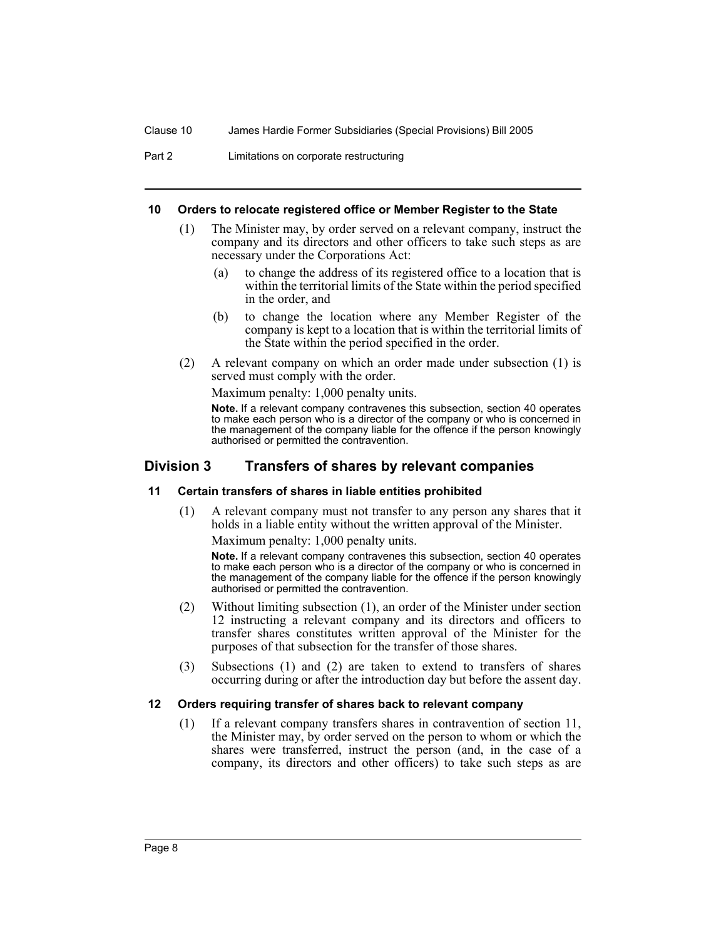Part 2 Limitations on corporate restructuring

#### **10 Orders to relocate registered office or Member Register to the State**

- (1) The Minister may, by order served on a relevant company, instruct the company and its directors and other officers to take such steps as are necessary under the Corporations Act:
	- (a) to change the address of its registered office to a location that is within the territorial limits of the State within the period specified in the order, and
	- (b) to change the location where any Member Register of the company is kept to a location that is within the territorial limits of the State within the period specified in the order.
- (2) A relevant company on which an order made under subsection (1) is served must comply with the order.

Maximum penalty: 1,000 penalty units.

**Note.** If a relevant company contravenes this subsection, section 40 operates to make each person who is a director of the company or who is concerned in the management of the company liable for the offence if the person knowingly authorised or permitted the contravention.

## **Division 3 Transfers of shares by relevant companies**

#### **11 Certain transfers of shares in liable entities prohibited**

(1) A relevant company must not transfer to any person any shares that it holds in a liable entity without the written approval of the Minister.

Maximum penalty: 1,000 penalty units.

**Note.** If a relevant company contravenes this subsection, section 40 operates to make each person who is a director of the company or who is concerned in the management of the company liable for the offence if the person knowingly authorised or permitted the contravention.

- (2) Without limiting subsection (1), an order of the Minister under section 12 instructing a relevant company and its directors and officers to transfer shares constitutes written approval of the Minister for the purposes of that subsection for the transfer of those shares.
- (3) Subsections (1) and (2) are taken to extend to transfers of shares occurring during or after the introduction day but before the assent day.

#### **12 Orders requiring transfer of shares back to relevant company**

(1) If a relevant company transfers shares in contravention of section 11, the Minister may, by order served on the person to whom or which the shares were transferred, instruct the person (and, in the case of a company, its directors and other officers) to take such steps as are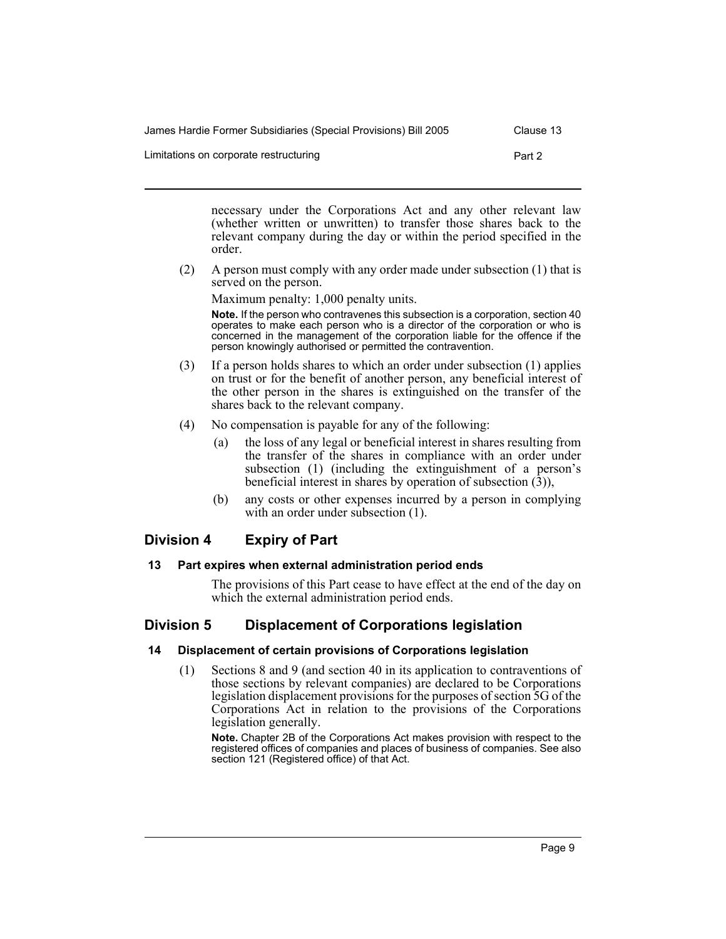| James Hardie Former Subsidiaries (Special Provisions) Bill 2005 | Clause 13 |
|-----------------------------------------------------------------|-----------|
| Limitations on corporate restructuring                          | Part 2    |

necessary under the Corporations Act and any other relevant law (whether written or unwritten) to transfer those shares back to the relevant company during the day or within the period specified in the order.

(2) A person must comply with any order made under subsection (1) that is served on the person.

Maximum penalty: 1,000 penalty units.

**Note.** If the person who contravenes this subsection is a corporation, section 40 operates to make each person who is a director of the corporation or who is concerned in the management of the corporation liable for the offence if the person knowingly authorised or permitted the contravention.

- (3) If a person holds shares to which an order under subsection (1) applies on trust or for the benefit of another person, any beneficial interest of the other person in the shares is extinguished on the transfer of the shares back to the relevant company.
- (4) No compensation is payable for any of the following:
	- (a) the loss of any legal or beneficial interest in shares resulting from the transfer of the shares in compliance with an order under subsection (1) (including the extinguishment of a person's beneficial interest in shares by operation of subsection  $(3)$ ),
	- (b) any costs or other expenses incurred by a person in complying with an order under subsection  $(1)$ .

## **Division 4 Expiry of Part**

## **13 Part expires when external administration period ends**

The provisions of this Part cease to have effect at the end of the day on which the external administration period ends.

## **Division 5 Displacement of Corporations legislation**

## **14 Displacement of certain provisions of Corporations legislation**

(1) Sections 8 and 9 (and section 40 in its application to contraventions of those sections by relevant companies) are declared to be Corporations legislation displacement provisions for the purposes of section 5G of the Corporations Act in relation to the provisions of the Corporations legislation generally.

**Note.** Chapter 2B of the Corporations Act makes provision with respect to the registered offices of companies and places of business of companies. See also section 121 (Registered office) of that Act.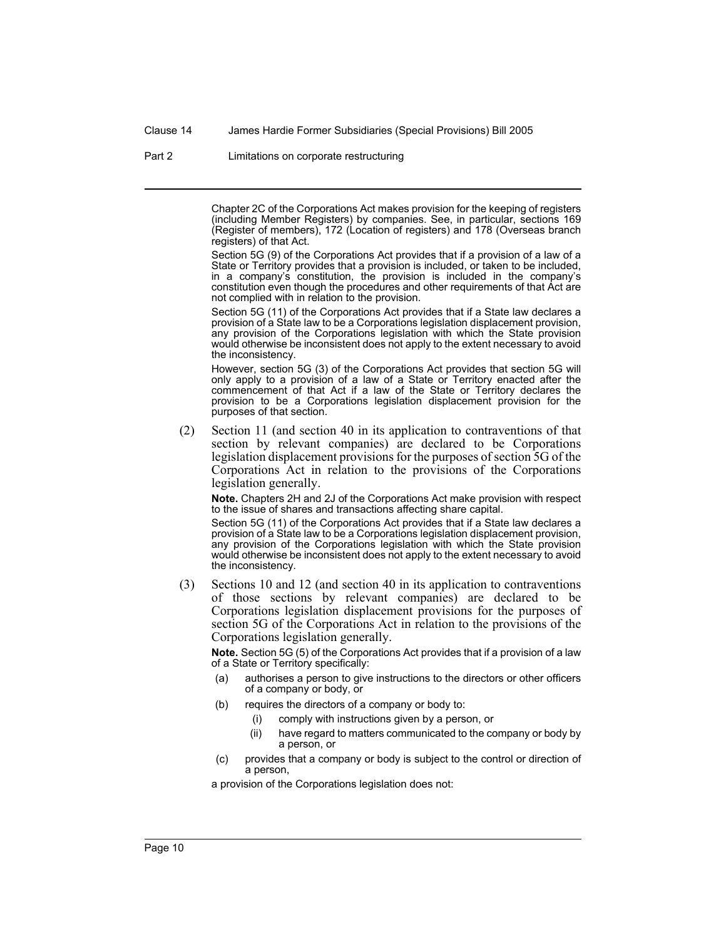Clause 14 James Hardie Former Subsidiaries (Special Provisions) Bill 2005

Part 2 Limitations on corporate restructuring

Chapter 2C of the Corporations Act makes provision for the keeping of registers (including Member Registers) by companies. See, in particular, sections 169 (Register of members), 172 (Location of registers) and 178 (Overseas branch registers) of that Act.

Section 5G (9) of the Corporations Act provides that if a provision of a law of a State or Territory provides that a provision is included, or taken to be included, in a company's constitution, the provision is included in the company's constitution even though the procedures and other requirements of that Act are not complied with in relation to the provision.

Section 5G (11) of the Corporations Act provides that if a State law declares a provision of a State law to be a Corporations legislation displacement provision, any provision of the Corporations legislation with which the State provision would otherwise be inconsistent does not apply to the extent necessary to avoid the inconsistency.

However, section 5G (3) of the Corporations Act provides that section 5G will only apply to a provision of a law of a State or Territory enacted after the commencement of that Act if a law of the State or Territory declares the provision to be a Corporations legislation displacement provision for the purposes of that section.

(2) Section 11 (and section 40 in its application to contraventions of that section by relevant companies) are declared to be Corporations legislation displacement provisions for the purposes of section 5G of the Corporations Act in relation to the provisions of the Corporations legislation generally.

**Note.** Chapters 2H and 2J of the Corporations Act make provision with respect to the issue of shares and transactions affecting share capital.

Section 5G (11) of the Corporations Act provides that if a State law declares a provision of a State law to be a Corporations legislation displacement provision, any provision of the Corporations legislation with which the State provision would otherwise be inconsistent does not apply to the extent necessary to avoid the inconsistency.

(3) Sections 10 and 12 (and section 40 in its application to contraventions of those sections by relevant companies) are declared to be Corporations legislation displacement provisions for the purposes of section 5G of the Corporations Act in relation to the provisions of the Corporations legislation generally.

**Note.** Section 5G (5) of the Corporations Act provides that if a provision of a law of a State or Territory specifically:

- (a) authorises a person to give instructions to the directors or other officers of a company or body, or
- (b) requires the directors of a company or body to:
	- (i) comply with instructions given by a person, or
	- (ii) have regard to matters communicated to the company or body by a person, or
- (c) provides that a company or body is subject to the control or direction of a person,

a provision of the Corporations legislation does not: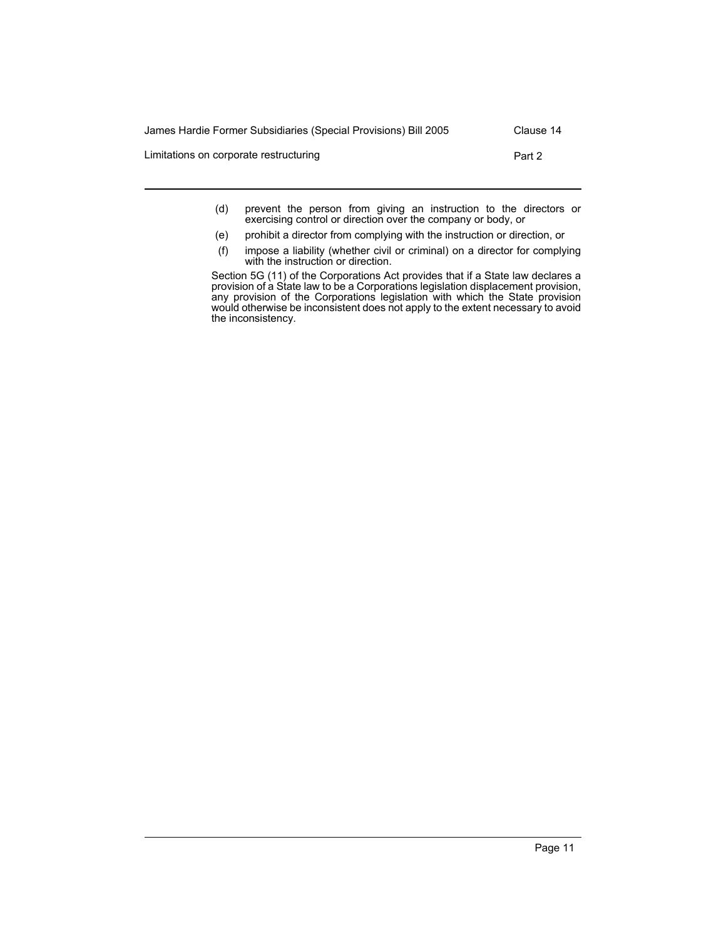| James Hardie Former Subsidiaries (Special Provisions) Bill 2005 | Clause 14 |
|-----------------------------------------------------------------|-----------|
| Limitations on corporate restructuring                          | Part 2    |
|                                                                 |           |

- (d) prevent the person from giving an instruction to the directors or exercising control or direction over the company or body, or
- (e) prohibit a director from complying with the instruction or direction, or
- (f) impose a liability (whether civil or criminal) on a director for complying with the instruction or direction.

Section 5G (11) of the Corporations Act provides that if a State law declares a provision of a State law to be a Corporations legislation displacement provision, any provision of the Corporations legislation with which the State provision would otherwise be inconsistent does not apply to the extent necessary to avoid the inconsistency.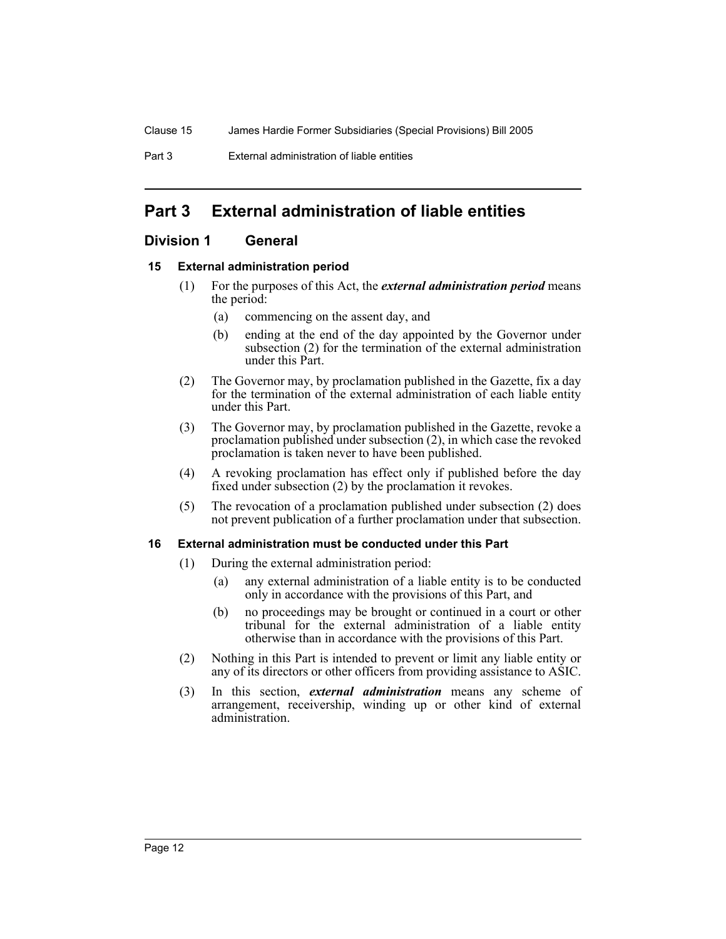Part 3 External administration of liable entities

## **Part 3 External administration of liable entities**

## **Division 1 General**

## **15 External administration period**

- (1) For the purposes of this Act, the *external administration period* means the period:
	- (a) commencing on the assent day, and
	- (b) ending at the end of the day appointed by the Governor under subsection (2) for the termination of the external administration under this Part.
- (2) The Governor may, by proclamation published in the Gazette, fix a day for the termination of the external administration of each liable entity under this Part.
- (3) The Governor may, by proclamation published in the Gazette, revoke a proclamation published under subsection (2), in which case the revoked proclamation is taken never to have been published.
- (4) A revoking proclamation has effect only if published before the day fixed under subsection (2) by the proclamation it revokes.
- (5) The revocation of a proclamation published under subsection (2) does not prevent publication of a further proclamation under that subsection.

## **16 External administration must be conducted under this Part**

- (1) During the external administration period:
	- (a) any external administration of a liable entity is to be conducted only in accordance with the provisions of this Part, and
	- (b) no proceedings may be brought or continued in a court or other tribunal for the external administration of a liable entity otherwise than in accordance with the provisions of this Part.
- (2) Nothing in this Part is intended to prevent or limit any liable entity or any of its directors or other officers from providing assistance to ASIC.
- (3) In this section, *external administration* means any scheme of arrangement, receivership, winding up or other kind of external administration.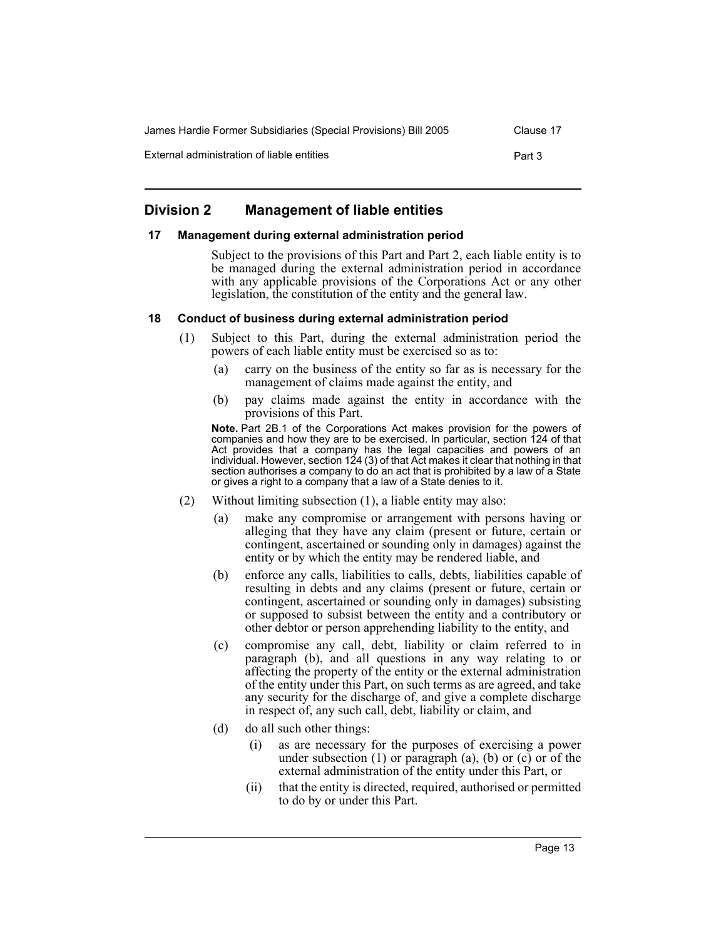| James Hardie Former Subsidiaries (Special Provisions) Bill 2005 | Clause 17 |
|-----------------------------------------------------------------|-----------|
| External administration of liable entities                      | Part 3    |

## **Division 2 Management of liable entities**

#### **17 Management during external administration period**

Subject to the provisions of this Part and Part 2, each liable entity is to be managed during the external administration period in accordance with any applicable provisions of the Corporations Act or any other legislation, the constitution of the entity and the general law.

#### **18 Conduct of business during external administration period**

- (1) Subject to this Part, during the external administration period the powers of each liable entity must be exercised so as to:
	- (a) carry on the business of the entity so far as is necessary for the management of claims made against the entity, and
	- (b) pay claims made against the entity in accordance with the provisions of this Part.

**Note.** Part 2B.1 of the Corporations Act makes provision for the powers of companies and how they are to be exercised. In particular, section 124 of that Act provides that a company has the legal capacities and powers of an individual. However, section 124 (3) of that Act makes it clear that nothing in that section authorises a company to do an act that is prohibited by a law of a State or gives a right to a company that a law of a State denies to it.

- (2) Without limiting subsection (1), a liable entity may also:
	- (a) make any compromise or arrangement with persons having or alleging that they have any claim (present or future, certain or contingent, ascertained or sounding only in damages) against the entity or by which the entity may be rendered liable, and
	- (b) enforce any calls, liabilities to calls, debts, liabilities capable of resulting in debts and any claims (present or future, certain or contingent, ascertained or sounding only in damages) subsisting or supposed to subsist between the entity and a contributory or other debtor or person apprehending liability to the entity, and
	- (c) compromise any call, debt, liability or claim referred to in paragraph (b), and all questions in any way relating to or affecting the property of the entity or the external administration of the entity under this Part, on such terms as are agreed, and take any security for the discharge of, and give a complete discharge in respect of, any such call, debt, liability or claim, and
	- (d) do all such other things:
		- (i) as are necessary for the purposes of exercising a power under subsection  $(1)$  or paragraph  $(a)$ ,  $(b)$  or  $(c)$  or  $\delta$  the external administration of the entity under this Part, or
		- (ii) that the entity is directed, required, authorised or permitted to do by or under this Part.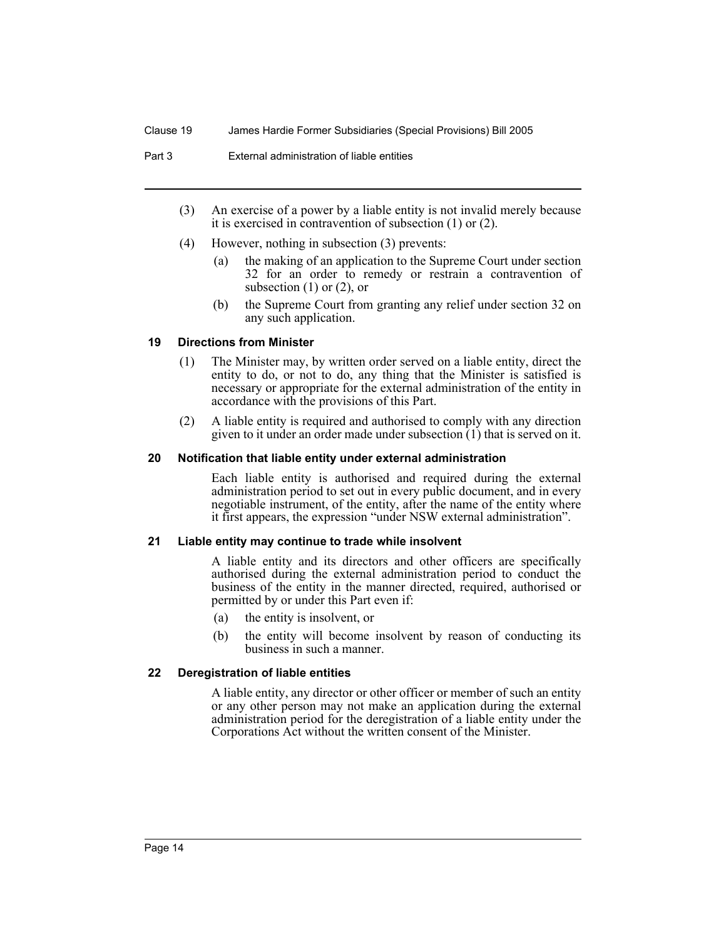Part 3 External administration of liable entities

- (3) An exercise of a power by a liable entity is not invalid merely because it is exercised in contravention of subsection (1) or (2).
- (4) However, nothing in subsection (3) prevents:
	- (a) the making of an application to the Supreme Court under section 32 for an order to remedy or restrain a contravention of subsection  $(1)$  or  $(2)$ , or
	- (b) the Supreme Court from granting any relief under section 32 on any such application.

#### **19 Directions from Minister**

- (1) The Minister may, by written order served on a liable entity, direct the entity to do, or not to do, any thing that the Minister is satisfied is necessary or appropriate for the external administration of the entity in accordance with the provisions of this Part.
- (2) A liable entity is required and authorised to comply with any direction given to it under an order made under subsection (1) that is served on it.

#### **20 Notification that liable entity under external administration**

Each liable entity is authorised and required during the external administration period to set out in every public document, and in every negotiable instrument, of the entity, after the name of the entity where it first appears, the expression "under NSW external administration".

#### **21 Liable entity may continue to trade while insolvent**

A liable entity and its directors and other officers are specifically authorised during the external administration period to conduct the business of the entity in the manner directed, required, authorised or permitted by or under this Part even if:

- (a) the entity is insolvent, or
- (b) the entity will become insolvent by reason of conducting its business in such a manner.

#### **22 Deregistration of liable entities**

A liable entity, any director or other officer or member of such an entity or any other person may not make an application during the external administration period for the deregistration of a liable entity under the Corporations Act without the written consent of the Minister.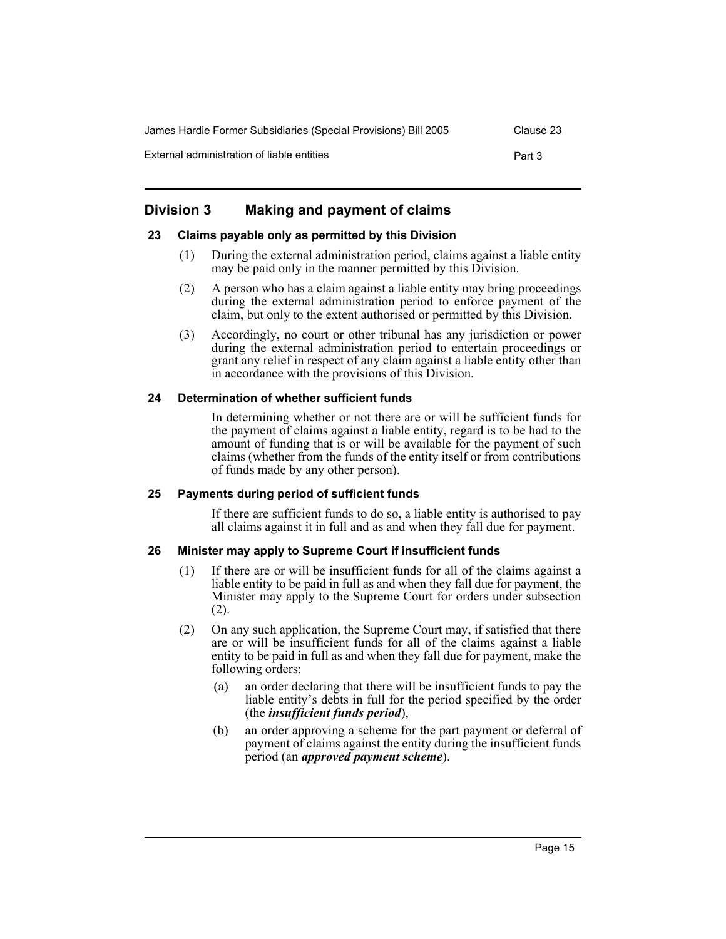| James Hardie Former Subsidiaries (Special Provisions) Bill 2005 | Clause 23 |
|-----------------------------------------------------------------|-----------|
| External administration of liable entities                      | Part 3    |

## **Division 3 Making and payment of claims**

#### **23 Claims payable only as permitted by this Division**

- (1) During the external administration period, claims against a liable entity may be paid only in the manner permitted by this Division.
- (2) A person who has a claim against a liable entity may bring proceedings during the external administration period to enforce payment of the claim, but only to the extent authorised or permitted by this Division.
- (3) Accordingly, no court or other tribunal has any jurisdiction or power during the external administration period to entertain proceedings or grant any relief in respect of any claim against a liable entity other than in accordance with the provisions of this Division.

#### **24 Determination of whether sufficient funds**

In determining whether or not there are or will be sufficient funds for the payment of claims against a liable entity, regard is to be had to the amount of funding that is or will be available for the payment of such claims (whether from the funds of the entity itself or from contributions of funds made by any other person).

#### **25 Payments during period of sufficient funds**

If there are sufficient funds to do so, a liable entity is authorised to pay all claims against it in full and as and when they fall due for payment.

## **26 Minister may apply to Supreme Court if insufficient funds**

- (1) If there are or will be insufficient funds for all of the claims against a liable entity to be paid in full as and when they fall due for payment, the Minister may apply to the Supreme Court for orders under subsection (2).
- (2) On any such application, the Supreme Court may, if satisfied that there are or will be insufficient funds for all of the claims against a liable entity to be paid in full as and when they fall due for payment, make the following orders:
	- (a) an order declaring that there will be insufficient funds to pay the liable entity's debts in full for the period specified by the order (the *insufficient funds period*),
	- (b) an order approving a scheme for the part payment or deferral of payment of claims against the entity during the insufficient funds period (an *approved payment scheme*).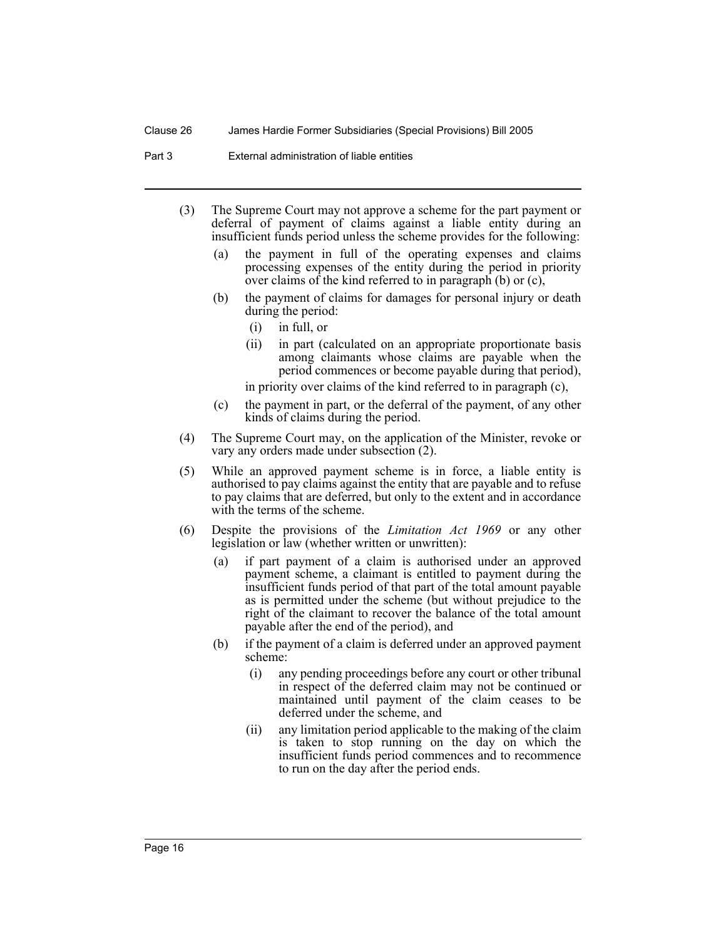#### Clause 26 James Hardie Former Subsidiaries (Special Provisions) Bill 2005

Part 3 External administration of liable entities

- (3) The Supreme Court may not approve a scheme for the part payment or deferral of payment of claims against a liable entity during an insufficient funds period unless the scheme provides for the following:
	- (a) the payment in full of the operating expenses and claims processing expenses of the entity during the period in priority over claims of the kind referred to in paragraph  $(b)$  or  $(c)$ ,
	- (b) the payment of claims for damages for personal injury or death during the period:
		- (i) in full, or
		- (ii) in part (calculated on an appropriate proportionate basis among claimants whose claims are payable when the period commences or become payable during that period),

in priority over claims of the kind referred to in paragraph (c),

- (c) the payment in part, or the deferral of the payment, of any other kinds of claims during the period.
- (4) The Supreme Court may, on the application of the Minister, revoke or vary any orders made under subsection (2).
- (5) While an approved payment scheme is in force, a liable entity is authorised to pay claims against the entity that are payable and to refuse to pay claims that are deferred, but only to the extent and in accordance with the terms of the scheme.
- (6) Despite the provisions of the *Limitation Act 1969* or any other legislation or law (whether written or unwritten):
	- (a) if part payment of a claim is authorised under an approved payment scheme, a claimant is entitled to payment during the insufficient funds period of that part of the total amount payable as is permitted under the scheme (but without prejudice to the right of the claimant to recover the balance of the total amount payable after the end of the period), and
	- (b) if the payment of a claim is deferred under an approved payment scheme:
		- (i) any pending proceedings before any court or other tribunal in respect of the deferred claim may not be continued or maintained until payment of the claim ceases to be deferred under the scheme, and
		- (ii) any limitation period applicable to the making of the claim is taken to stop running on the day on which the insufficient funds period commences and to recommence to run on the day after the period ends.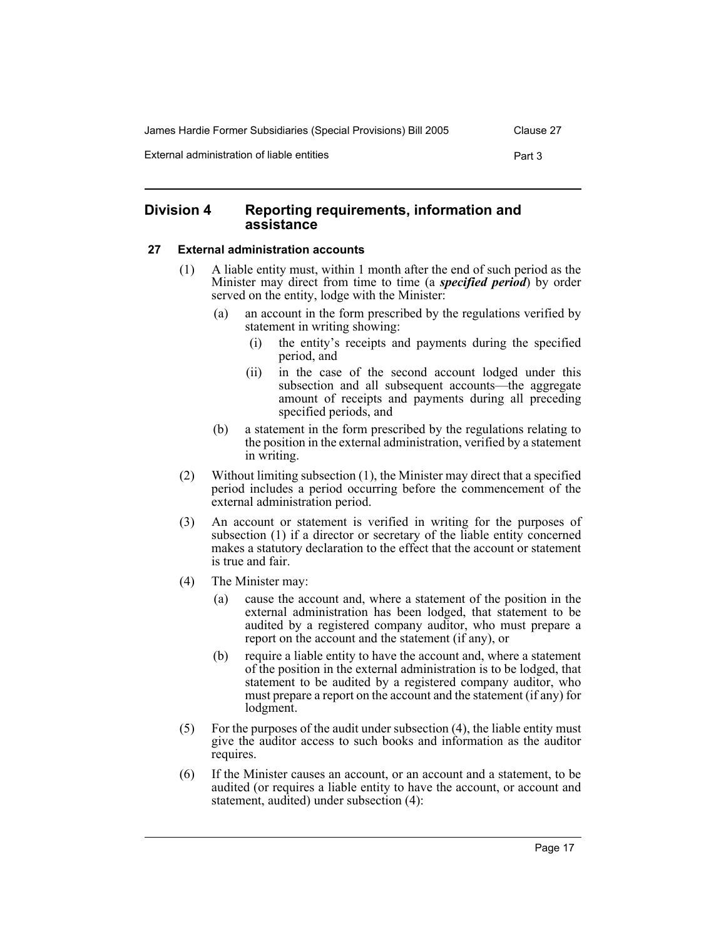| James Hardie Former Subsidiaries (Special Provisions) Bill 2005 | Clause 27 |
|-----------------------------------------------------------------|-----------|
| External administration of liable entities                      | Part 3    |

## **Division 4 Reporting requirements, information and assistance**

## **27 External administration accounts**

- (1) A liable entity must, within 1 month after the end of such period as the Minister may direct from time to time (a *specified period*) by order served on the entity, lodge with the Minister:
	- (a) an account in the form prescribed by the regulations verified by statement in writing showing:
		- (i) the entity's receipts and payments during the specified period, and
		- (ii) in the case of the second account lodged under this subsection and all subsequent accounts—the aggregate amount of receipts and payments during all preceding specified periods, and
	- (b) a statement in the form prescribed by the regulations relating to the position in the external administration, verified by a statement in writing.
- (2) Without limiting subsection (1), the Minister may direct that a specified period includes a period occurring before the commencement of the external administration period.
- (3) An account or statement is verified in writing for the purposes of subsection (1) if a director or secretary of the liable entity concerned makes a statutory declaration to the effect that the account or statement is true and fair.
- (4) The Minister may:
	- (a) cause the account and, where a statement of the position in the external administration has been lodged, that statement to be audited by a registered company auditor, who must prepare a report on the account and the statement (if any), or
	- (b) require a liable entity to have the account and, where a statement of the position in the external administration is to be lodged, that statement to be audited by a registered company auditor, who must prepare a report on the account and the statement (if any) for lodgment.
- (5) For the purposes of the audit under subsection (4), the liable entity must give the auditor access to such books and information as the auditor requires.
- (6) If the Minister causes an account, or an account and a statement, to be audited (or requires a liable entity to have the account, or account and statement, audited) under subsection (4):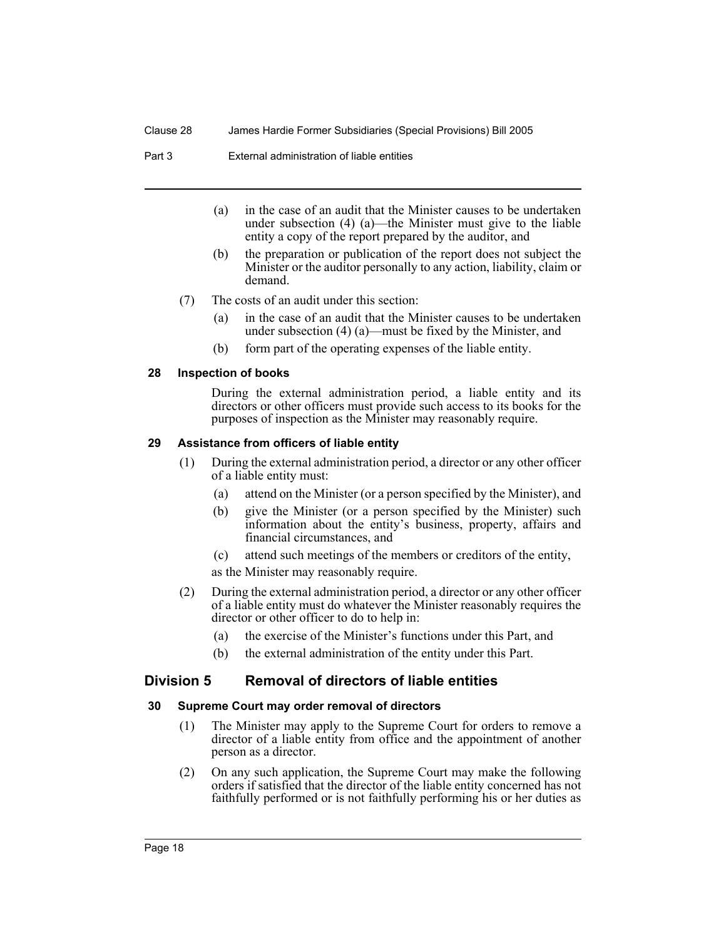#### Clause 28 James Hardie Former Subsidiaries (Special Provisions) Bill 2005

Part 3 External administration of liable entities

- (a) in the case of an audit that the Minister causes to be undertaken under subsection (4) (a)—the Minister must give to the liable entity a copy of the report prepared by the auditor, and
- (b) the preparation or publication of the report does not subject the Minister or the auditor personally to any action, liability, claim or demand.
- (7) The costs of an audit under this section:
	- (a) in the case of an audit that the Minister causes to be undertaken under subsection (4) (a)—must be fixed by the Minister, and
	- (b) form part of the operating expenses of the liable entity.

#### **28 Inspection of books**

During the external administration period, a liable entity and its directors or other officers must provide such access to its books for the purposes of inspection as the Minister may reasonably require.

#### **29 Assistance from officers of liable entity**

- (1) During the external administration period, a director or any other officer of a liable entity must:
	- (a) attend on the Minister (or a person specified by the Minister), and
	- (b) give the Minister (or a person specified by the Minister) such information about the entity's business, property, affairs and financial circumstances, and
	- (c) attend such meetings of the members or creditors of the entity,

as the Minister may reasonably require.

- (2) During the external administration period, a director or any other officer of a liable entity must do whatever the Minister reasonably requires the director or other officer to do to help in:
	- (a) the exercise of the Minister's functions under this Part, and
	- (b) the external administration of the entity under this Part.

## **Division 5 Removal of directors of liable entities**

#### **30 Supreme Court may order removal of directors**

- (1) The Minister may apply to the Supreme Court for orders to remove a director of a liable entity from office and the appointment of another person as a director.
- (2) On any such application, the Supreme Court may make the following orders if satisfied that the director of the liable entity concerned has not faithfully performed or is not faithfully performing his or her duties as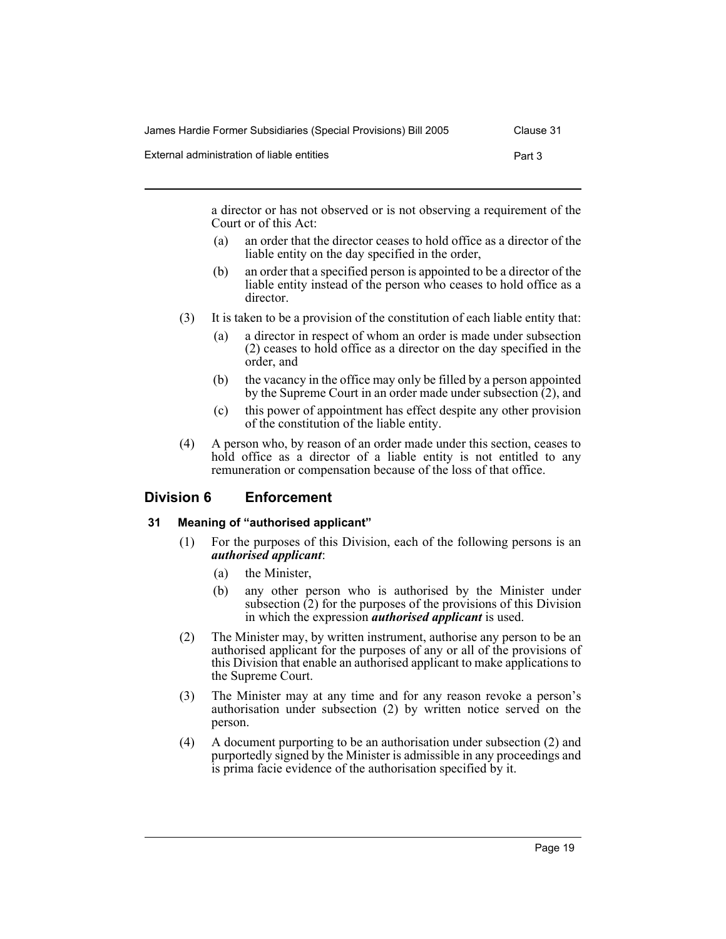| James Hardie Former Subsidiaries (Special Provisions) Bill 2005 | Clause 31 |
|-----------------------------------------------------------------|-----------|
| External administration of liable entities                      | Part 3    |

a director or has not observed or is not observing a requirement of the Court or of this Act:

- (a) an order that the director ceases to hold office as a director of the liable entity on the day specified in the order,
- (b) an order that a specified person is appointed to be a director of the liable entity instead of the person who ceases to hold office as a director.
- (3) It is taken to be a provision of the constitution of each liable entity that:
	- (a) a director in respect of whom an order is made under subsection (2) ceases to hold office as a director on the day specified in the order, and
	- (b) the vacancy in the office may only be filled by a person appointed by the Supreme Court in an order made under subsection (2), and
	- (c) this power of appointment has effect despite any other provision of the constitution of the liable entity.
- (4) A person who, by reason of an order made under this section, ceases to hold office as a director of a liable entity is not entitled to any remuneration or compensation because of the loss of that office.

## **Division 6 Enforcement**

## **31 Meaning of "authorised applicant"**

- (1) For the purposes of this Division, each of the following persons is an *authorised applicant*:
	- (a) the Minister,
	- (b) any other person who is authorised by the Minister under subsection (2) for the purposes of the provisions of this Division in which the expression *authorised applicant* is used.
- (2) The Minister may, by written instrument, authorise any person to be an authorised applicant for the purposes of any or all of the provisions of this Division that enable an authorised applicant to make applications to the Supreme Court.
- (3) The Minister may at any time and for any reason revoke a person's authorisation under subsection (2) by written notice served on the person.
- (4) A document purporting to be an authorisation under subsection (2) and purportedly signed by the Minister is admissible in any proceedings and is prima facie evidence of the authorisation specified by it.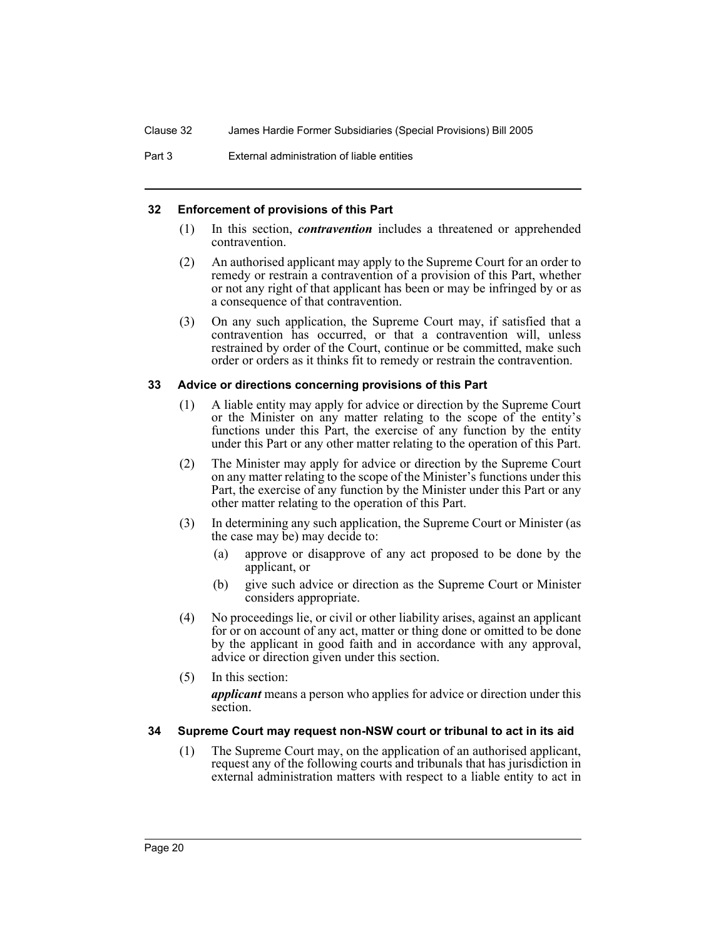Part 3 External administration of liable entities

#### **32 Enforcement of provisions of this Part**

- (1) In this section, *contravention* includes a threatened or apprehended contravention.
- (2) An authorised applicant may apply to the Supreme Court for an order to remedy or restrain a contravention of a provision of this Part, whether or not any right of that applicant has been or may be infringed by or as a consequence of that contravention.
- (3) On any such application, the Supreme Court may, if satisfied that a contravention has occurred, or that a contravention will, unless restrained by order of the Court, continue or be committed, make such order or orders as it thinks fit to remedy or restrain the contravention.

#### **33 Advice or directions concerning provisions of this Part**

- (1) A liable entity may apply for advice or direction by the Supreme Court or the Minister on any matter relating to the scope of the entity's functions under this Part, the exercise of any function by the entity under this Part or any other matter relating to the operation of this Part.
- (2) The Minister may apply for advice or direction by the Supreme Court on any matter relating to the scope of the Minister's functions under this Part, the exercise of any function by the Minister under this Part or any other matter relating to the operation of this Part.
- (3) In determining any such application, the Supreme Court or Minister (as the case may be) may decide to:
	- (a) approve or disapprove of any act proposed to be done by the applicant, or
	- (b) give such advice or direction as the Supreme Court or Minister considers appropriate.
- (4) No proceedings lie, or civil or other liability arises, against an applicant for or on account of any act, matter or thing done or omitted to be done by the applicant in good faith and in accordance with any approval, advice or direction given under this section.
- (5) In this section:

*applicant* means a person who applies for advice or direction under this section.

## **34 Supreme Court may request non-NSW court or tribunal to act in its aid**

(1) The Supreme Court may, on the application of an authorised applicant, request any of the following courts and tribunals that has jurisdiction in external administration matters with respect to a liable entity to act in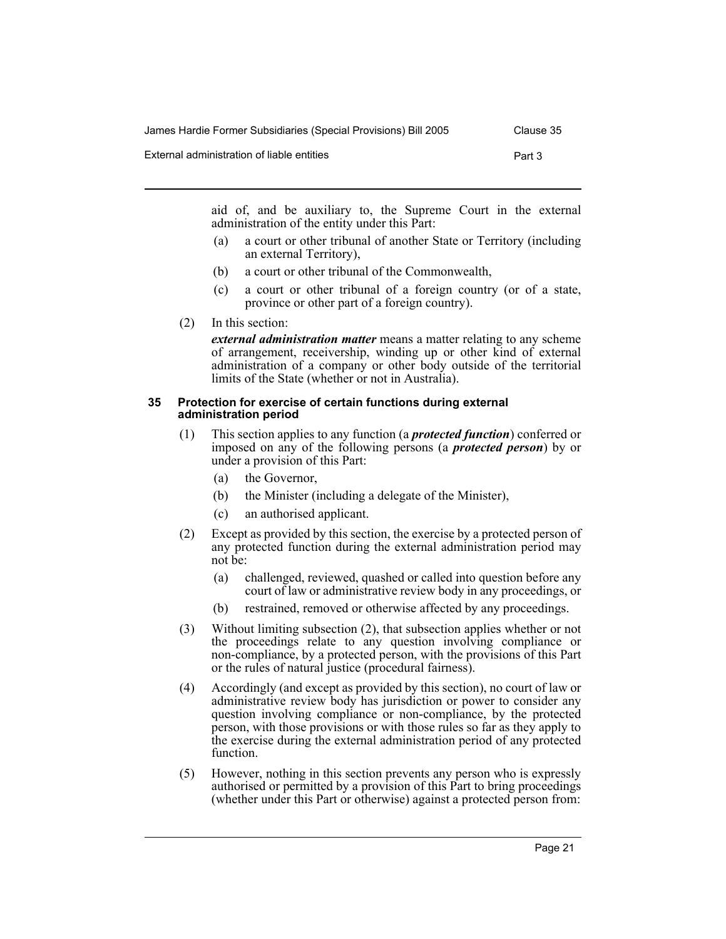| James Hardie Former Subsidiaries (Special Provisions) Bill 2005 | Clause 35 |
|-----------------------------------------------------------------|-----------|
| External administration of liable entities                      | Part 3    |

aid of, and be auxiliary to, the Supreme Court in the external administration of the entity under this Part:

- (a) a court or other tribunal of another State or Territory (including an external Territory),
- (b) a court or other tribunal of the Commonwealth,
- (c) a court or other tribunal of a foreign country (or of a state, province or other part of a foreign country).
- (2) In this section:

*external administration matter* means a matter relating to any scheme of arrangement, receivership, winding up or other kind of external administration of a company or other body outside of the territorial limits of the State (whether or not in Australia).

#### **35 Protection for exercise of certain functions during external administration period**

- (1) This section applies to any function (a *protected function*) conferred or imposed on any of the following persons (a *protected person*) by or under a provision of this Part:
	- (a) the Governor,
	- (b) the Minister (including a delegate of the Minister),
	- (c) an authorised applicant.
- (2) Except as provided by this section, the exercise by a protected person of any protected function during the external administration period may not be:
	- (a) challenged, reviewed, quashed or called into question before any court of law or administrative review body in any proceedings, or
	- (b) restrained, removed or otherwise affected by any proceedings.
- (3) Without limiting subsection (2), that subsection applies whether or not the proceedings relate to any question involving compliance or non-compliance, by a protected person, with the provisions of this Part or the rules of natural justice (procedural fairness).
- (4) Accordingly (and except as provided by this section), no court of law or administrative review body has jurisdiction or power to consider any question involving compliance or non-compliance, by the protected person, with those provisions or with those rules so far as they apply to the exercise during the external administration period of any protected function.
- (5) However, nothing in this section prevents any person who is expressly authorised or permitted by a provision of this Part to bring proceedings (whether under this Part or otherwise) against a protected person from: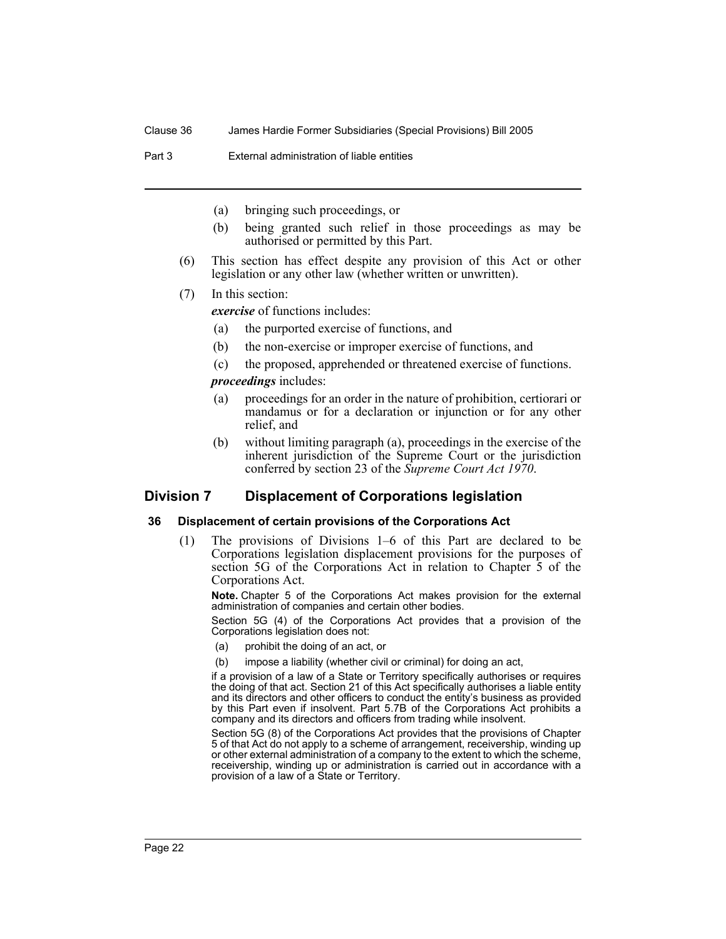Part 3 External administration of liable entities

- (a) bringing such proceedings, or
- (b) being granted such relief in those proceedings as may be authorised or permitted by this Part.
- (6) This section has effect despite any provision of this Act or other legislation or any other law (whether written or unwritten).
- (7) In this section:

*exercise* of functions includes:

- (a) the purported exercise of functions, and
- (b) the non-exercise or improper exercise of functions, and
- (c) the proposed, apprehended or threatened exercise of functions.

*proceedings* includes:

- (a) proceedings for an order in the nature of prohibition, certiorari or mandamus or for a declaration or injunction or for any other relief, and
- (b) without limiting paragraph (a), proceedings in the exercise of the inherent jurisdiction of the Supreme Court or the jurisdiction conferred by section 23 of the *Supreme Court Act 1970*.

## **Division 7 Displacement of Corporations legislation**

#### **36 Displacement of certain provisions of the Corporations Act**

(1) The provisions of Divisions 1–6 of this Part are declared to be Corporations legislation displacement provisions for the purposes of section 5G of the Corporations Act in relation to Chapter 5 of the Corporations Act.

**Note.** Chapter 5 of the Corporations Act makes provision for the external administration of companies and certain other bodies.

Section 5G (4) of the Corporations Act provides that a provision of the Corporations legislation does not:

- (a) prohibit the doing of an act, or
- (b) impose a liability (whether civil or criminal) for doing an act,

if a provision of a law of a State or Territory specifically authorises or requires the doing of that act. Section 21 of this Act specifically authorises a liable entity and its directors and other officers to conduct the entity's business as provided by this Part even if insolvent. Part 5.7B of the Corporations Act prohibits a company and its directors and officers from trading while insolvent.

Section 5G (8) of the Corporations Act provides that the provisions of Chapter 5 of that Act do not apply to a scheme of arrangement, receivership, winding up or other external administration of a company to the extent to which the scheme, receivership, winding up or administration is carried out in accordance with a provision of a law of a State or Territory.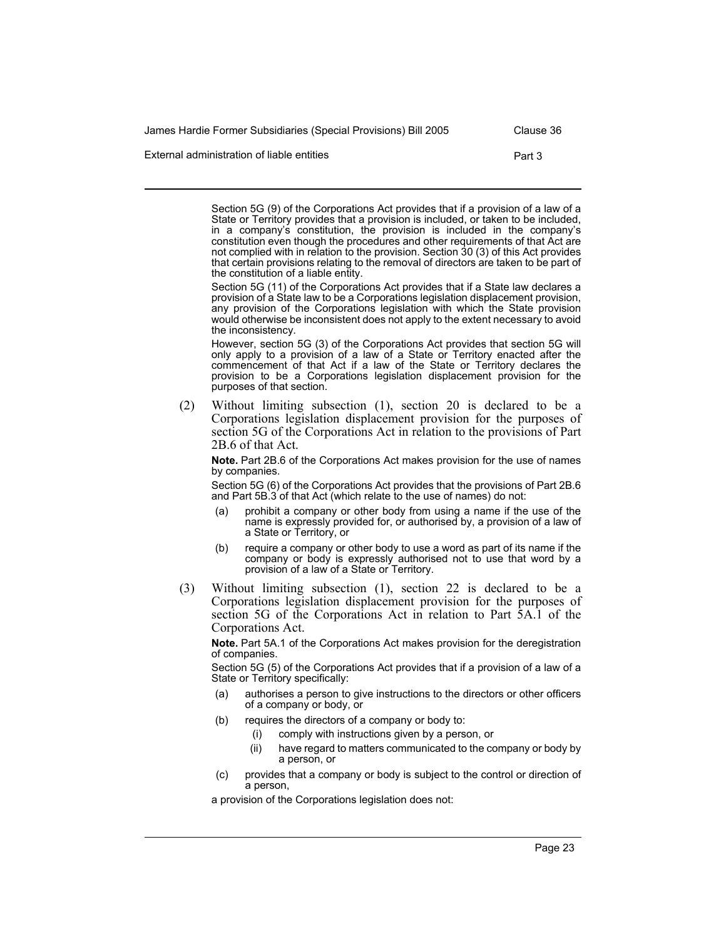James Hardie Former Subsidiaries (Special Provisions) Bill 2005 Clause 36

External administration of liable entities **Part 3** Part 3

Section 5G (9) of the Corporations Act provides that if a provision of a law of a State or Territory provides that a provision is included, or taken to be included, in a company's constitution, the provision is included in the company's constitution even though the procedures and other requirements of that Act are not complied with in relation to the provision. Section 30 (3) of this Act provides that certain provisions relating to the removal of directors are taken to be part of the constitution of a liable entity.

Section 5G (11) of the Corporations Act provides that if a State law declares a provision of a State law to be a Corporations legislation displacement provision, any provision of the Corporations legislation with which the State provision would otherwise be inconsistent does not apply to the extent necessary to avoid the inconsistency.

However, section 5G (3) of the Corporations Act provides that section 5G will only apply to a provision of a law of a State or Territory enacted after the commencement of that Act if a law of the State or Territory declares the provision to be a Corporations legislation displacement provision for the purposes of that section.

(2) Without limiting subsection (1), section 20 is declared to be a Corporations legislation displacement provision for the purposes of section 5G of the Corporations Act in relation to the provisions of Part 2B.6 of that Act.

**Note.** Part 2B.6 of the Corporations Act makes provision for the use of names by companies.

Section 5G (6) of the Corporations Act provides that the provisions of Part 2B.6 and Part 5B.3 of that Act (which relate to the use of names) do not:

- prohibit a company or other body from using a name if the use of the name is expressly provided for, or authorised by, a provision of a law of a State or Territory, or
- (b) require a company or other body to use a word as part of its name if the company or body is expressly authorised not to use that word by a provision of a law of a State or Territory.
- (3) Without limiting subsection (1), section 22 is declared to be a Corporations legislation displacement provision for the purposes of section 5G of the Corporations Act in relation to Part 5A.1 of the Corporations Act.

**Note.** Part 5A.1 of the Corporations Act makes provision for the deregistration of companies.

Section 5G (5) of the Corporations Act provides that if a provision of a law of a State or Territory specifically:

- authorises a person to give instructions to the directors or other officers of a company or body, or
- (b) requires the directors of a company or body to:
	- (i) comply with instructions given by a person, or
	- (ii) have regard to matters communicated to the company or body by a person, or
- (c) provides that a company or body is subject to the control or direction of a person,

a provision of the Corporations legislation does not: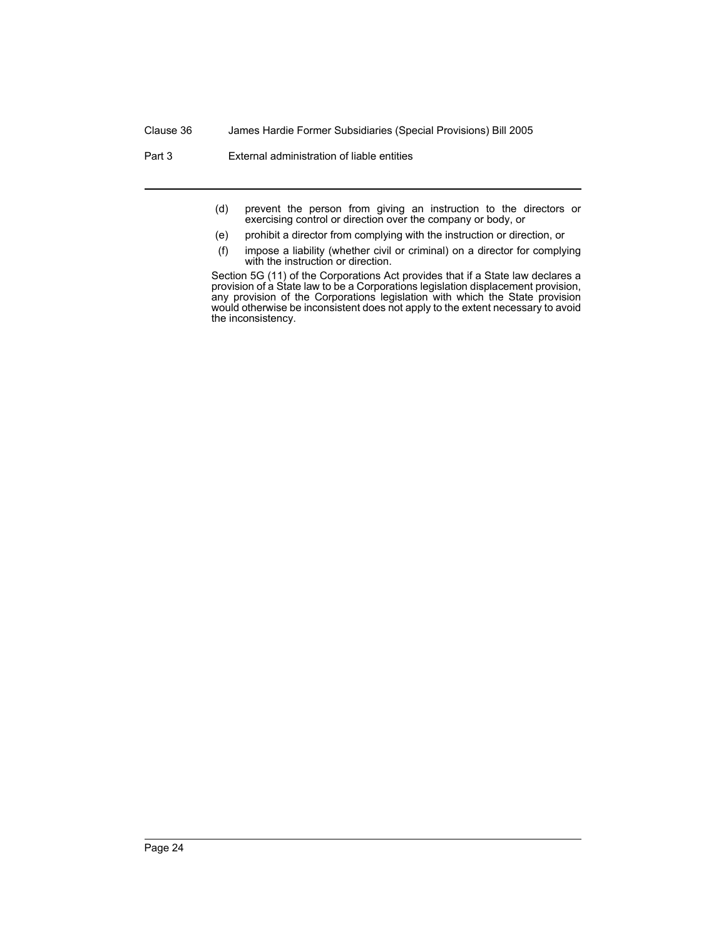#### Clause 36 James Hardie Former Subsidiaries (Special Provisions) Bill 2005

Part 3 External administration of liable entities

- (d) prevent the person from giving an instruction to the directors or exercising control or direction over the company or body, or
- (e) prohibit a director from complying with the instruction or direction, or
- (f) impose a liability (whether civil or criminal) on a director for complying with the instruction or direction.

Section 5G (11) of the Corporations Act provides that if a State law declares a provision of a State law to be a Corporations legislation displacement provision, any provision of the Corporations legislation with which the State provision would otherwise be inconsistent does not apply to the extent necessary to avoid the inconsistency.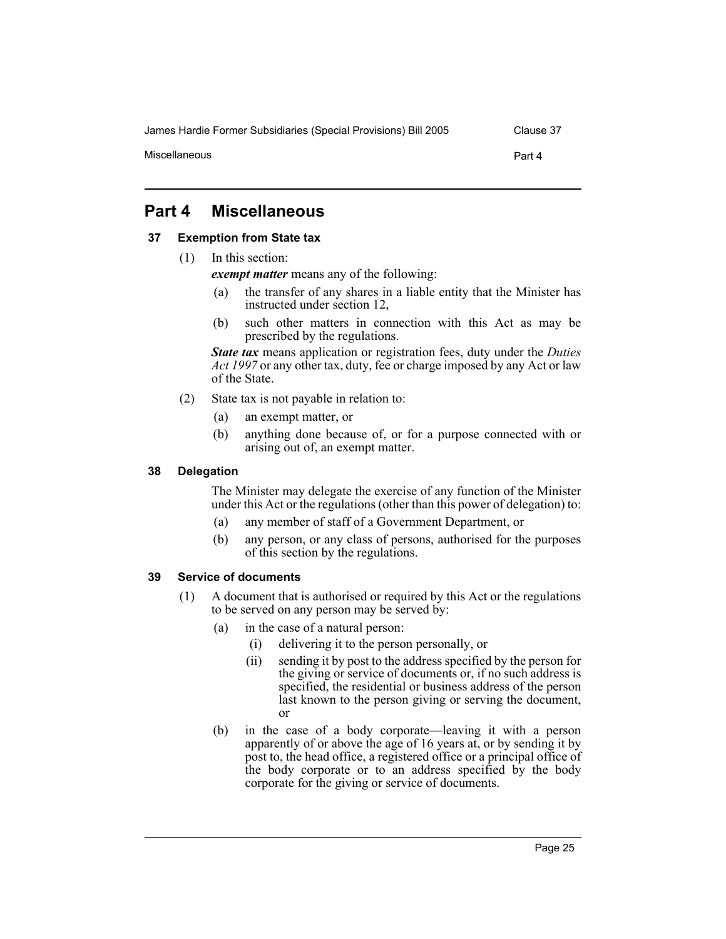James Hardie Former Subsidiaries (Special Provisions) Bill 2005 Clause 37

Miscellaneous Part 4

## **Part 4 Miscellaneous**

#### **37 Exemption from State tax**

(1) In this section:

*exempt matter* means any of the following:

- (a) the transfer of any shares in a liable entity that the Minister has instructed under section 12,
- (b) such other matters in connection with this Act as may be prescribed by the regulations.

*State tax* means application or registration fees, duty under the *Duties Act 1997* or any other tax, duty, fee or charge imposed by any Act or law of the State.

- (2) State tax is not payable in relation to:
	- (a) an exempt matter, or
	- (b) anything done because of, or for a purpose connected with or arising out of, an exempt matter.

#### **38 Delegation**

The Minister may delegate the exercise of any function of the Minister under this Act or the regulations (other than this power of delegation) to:

- (a) any member of staff of a Government Department, or
- (b) any person, or any class of persons, authorised for the purposes of this section by the regulations.

#### **39 Service of documents**

- (1) A document that is authorised or required by this Act or the regulations to be served on any person may be served by:
	- (a) in the case of a natural person:
		- (i) delivering it to the person personally, or
		- (ii) sending it by post to the address specified by the person for the giving or service of documents or, if no such address is specified, the residential or business address of the person last known to the person giving or serving the document, or
	- (b) in the case of a body corporate—leaving it with a person apparently of or above the age of 16 years at, or by sending it by post to, the head office, a registered office or a principal office of the body corporate or to an address specified by the body corporate for the giving or service of documents.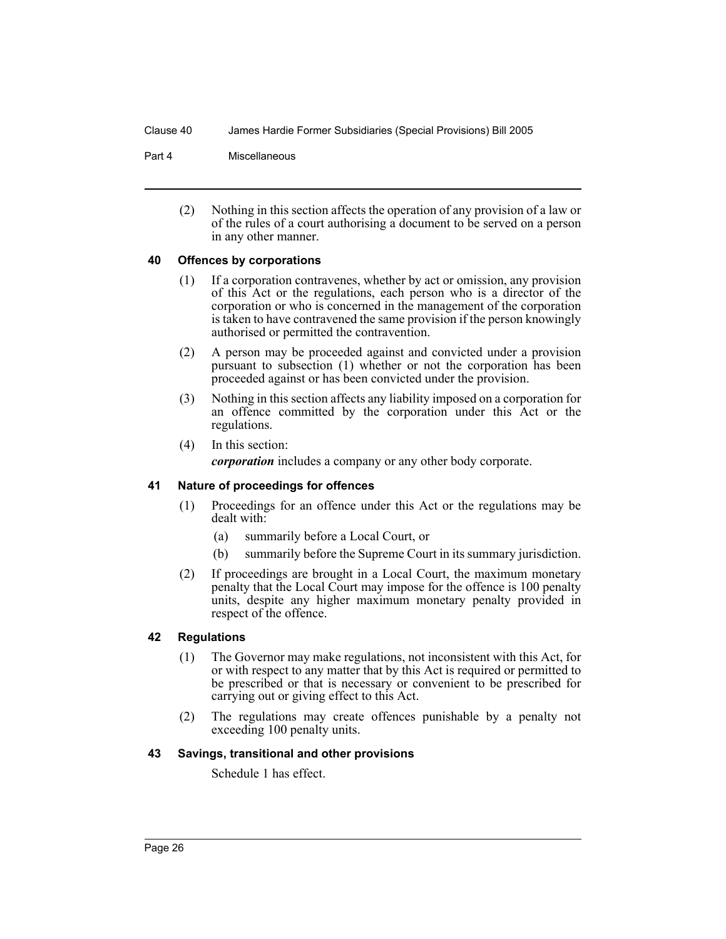#### Clause 40 James Hardie Former Subsidiaries (Special Provisions) Bill 2005

#### Part 4 Miscellaneous

(2) Nothing in this section affects the operation of any provision of a law or of the rules of a court authorising a document to be served on a person in any other manner.

#### **40 Offences by corporations**

- (1) If a corporation contravenes, whether by act or omission, any provision of this Act or the regulations, each person who is a director of the corporation or who is concerned in the management of the corporation is taken to have contravened the same provision if the person knowingly authorised or permitted the contravention.
- (2) A person may be proceeded against and convicted under a provision pursuant to subsection (1) whether or not the corporation has been proceeded against or has been convicted under the provision.
- (3) Nothing in this section affects any liability imposed on a corporation for an offence committed by the corporation under this Act or the regulations.
- (4) In this section:

*corporation* includes a company or any other body corporate.

## **41 Nature of proceedings for offences**

- (1) Proceedings for an offence under this Act or the regulations may be dealt with:
	- (a) summarily before a Local Court, or
	- (b) summarily before the Supreme Court in its summary jurisdiction.
- (2) If proceedings are brought in a Local Court, the maximum monetary penalty that the Local Court may impose for the offence is 100 penalty units, despite any higher maximum monetary penalty provided in respect of the offence.

## **42 Regulations**

- (1) The Governor may make regulations, not inconsistent with this Act, for or with respect to any matter that by this Act is required or permitted to be prescribed or that is necessary or convenient to be prescribed for carrying out or giving effect to this Act.
- (2) The regulations may create offences punishable by a penalty not exceeding 100 penalty units.

#### **43 Savings, transitional and other provisions**

Schedule 1 has effect.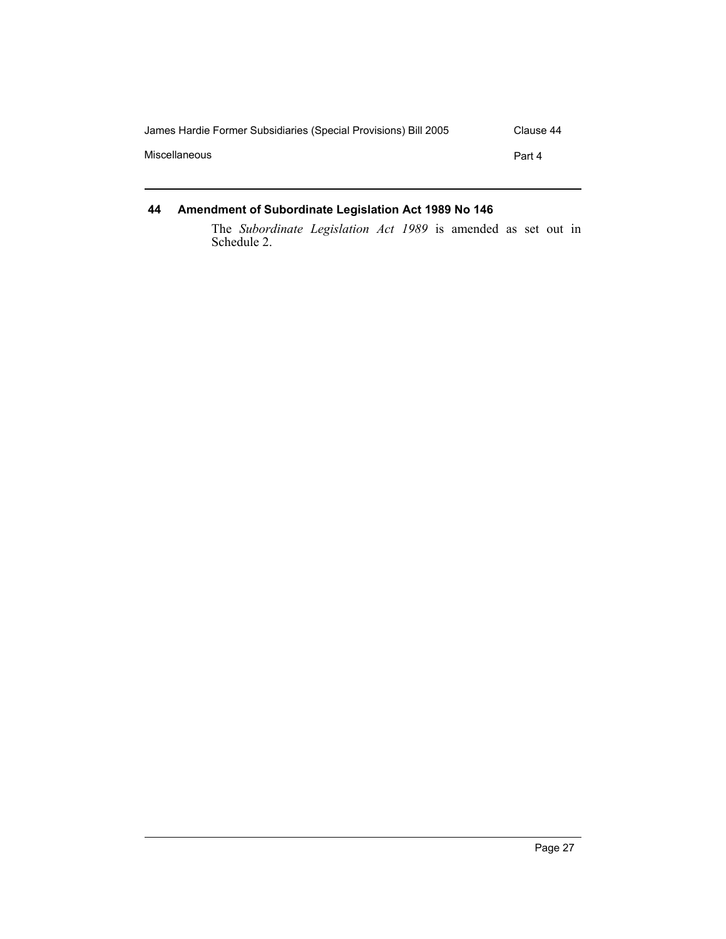| James Hardie Former Subsidiaries (Special Provisions) Bill 2005 | Clause 44 |
|-----------------------------------------------------------------|-----------|
| Miscellaneous                                                   | Part 4    |
|                                                                 |           |

## **44 Amendment of Subordinate Legislation Act 1989 No 146**

The *Subordinate Legislation Act 1989* is amended as set out in Schedule 2.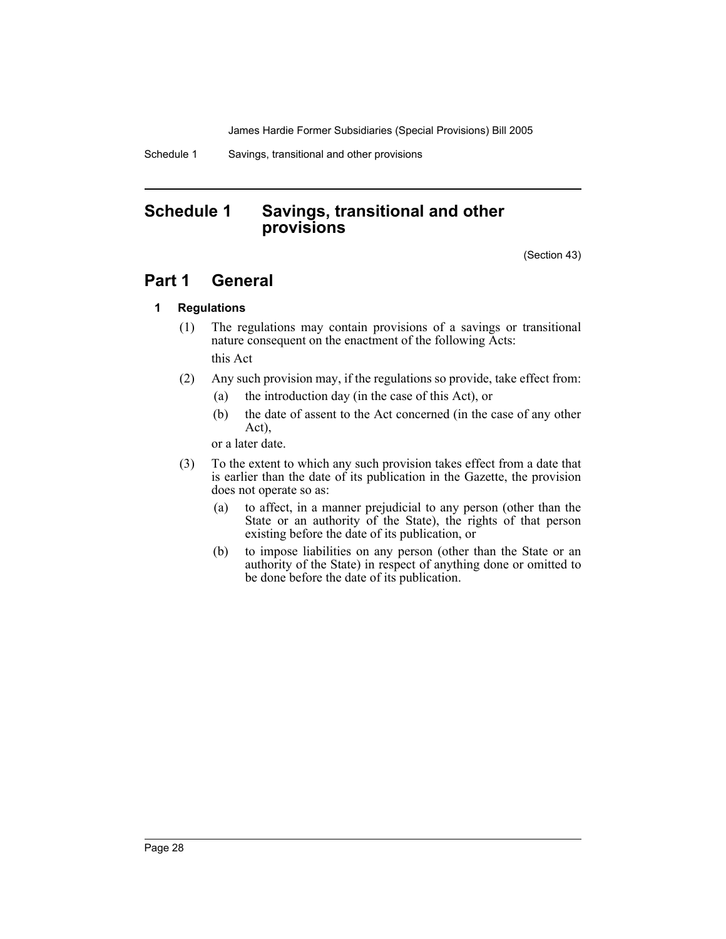James Hardie Former Subsidiaries (Special Provisions) Bill 2005

Schedule 1 Savings, transitional and other provisions

## **Schedule 1 Savings, transitional and other provisions**

(Section 43)

## **Part 1 General**

## **1 Regulations**

- (1) The regulations may contain provisions of a savings or transitional nature consequent on the enactment of the following Acts: this Act
- (2) Any such provision may, if the regulations so provide, take effect from:
	- (a) the introduction day (in the case of this Act), or
	- (b) the date of assent to the Act concerned (in the case of any other Act),

or a later date.

- (3) To the extent to which any such provision takes effect from a date that is earlier than the date of its publication in the Gazette, the provision does not operate so as:
	- (a) to affect, in a manner prejudicial to any person (other than the State or an authority of the State), the rights of that person existing before the date of its publication, or
	- (b) to impose liabilities on any person (other than the State or an authority of the State) in respect of anything done or omitted to be done before the date of its publication.